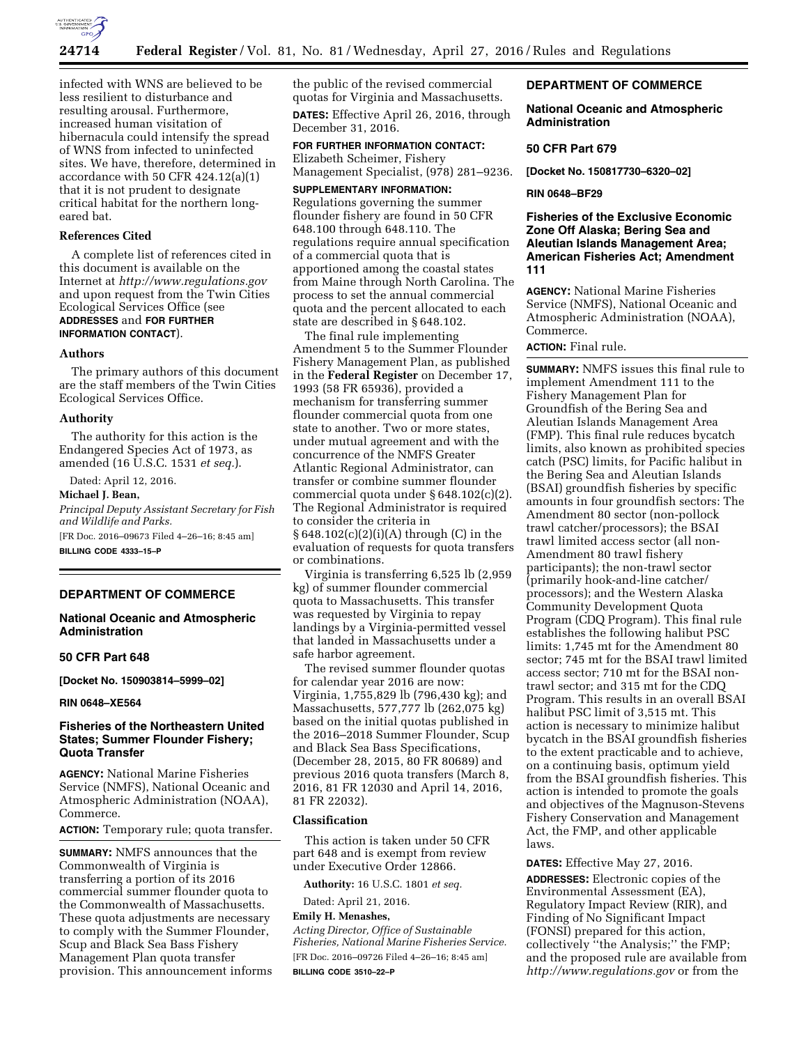

infected with WNS are believed to be less resilient to disturbance and resulting arousal. Furthermore, increased human visitation of hibernacula could intensify the spread of WNS from infected to uninfected sites. We have, therefore, determined in accordance with 50 CFR 424.12(a)(1) that it is not prudent to designate critical habitat for the northern longeared bat.

### **References Cited**

A complete list of references cited in this document is available on the Internet at *<http://www.regulations.gov>*  and upon request from the Twin Cities Ecological Services Office (see **ADDRESSES** and **FOR FURTHER INFORMATION CONTACT**).

#### **Authors**

The primary authors of this document are the staff members of the Twin Cities Ecological Services Office.

### **Authority**

The authority for this action is the Endangered Species Act of 1973, as amended (16 U.S.C. 1531 *et seq.*).

Dated: April 12, 2016.

**Michael J. Bean,** 

*Principal Deputy Assistant Secretary for Fish and Wildlife and Parks.*  [FR Doc. 2016–09673 Filed 4–26–16; 8:45 am] **BILLING CODE 4333–15–P** 

### **DEPARTMENT OF COMMERCE**

### **National Oceanic and Atmospheric Administration**

#### **50 CFR Part 648**

**[Docket No. 150903814–5999–02]** 

### **RIN 0648–XE564**

### **Fisheries of the Northeastern United States; Summer Flounder Fishery; Quota Transfer**

**AGENCY:** National Marine Fisheries Service (NMFS), National Oceanic and Atmospheric Administration (NOAA), Commerce.

**ACTION:** Temporary rule; quota transfer.

**SUMMARY:** NMFS announces that the Commonwealth of Virginia is transferring a portion of its 2016 commercial summer flounder quota to the Commonwealth of Massachusetts. These quota adjustments are necessary to comply with the Summer Flounder, Scup and Black Sea Bass Fishery Management Plan quota transfer provision. This announcement informs the public of the revised commercial quotas for Virginia and Massachusetts. **DATES:** Effective April 26, 2016, through December 31, 2016.

# **FOR FURTHER INFORMATION CONTACT:**

Elizabeth Scheimer, Fishery Management Specialist, (978) 281–9236.

### **SUPPLEMENTARY INFORMATION:**

Regulations governing the summer flounder fishery are found in 50 CFR 648.100 through 648.110. The regulations require annual specification of a commercial quota that is apportioned among the coastal states from Maine through North Carolina. The process to set the annual commercial quota and the percent allocated to each state are described in § 648.102.

The final rule implementing Amendment 5 to the Summer Flounder Fishery Management Plan, as published in the **Federal Register** on December 17, 1993 (58 FR 65936), provided a mechanism for transferring summer flounder commercial quota from one state to another. Two or more states, under mutual agreement and with the concurrence of the NMFS Greater Atlantic Regional Administrator, can transfer or combine summer flounder commercial quota under § 648.102(c)(2). The Regional Administrator is required to consider the criteria in § 648.102(c)(2)(i)(A) through (C) in the evaluation of requests for quota transfers or combinations.

Virginia is transferring 6,525 lb (2,959 kg) of summer flounder commercial quota to Massachusetts. This transfer was requested by Virginia to repay landings by a Virginia-permitted vessel that landed in Massachusetts under a safe harbor agreement.

The revised summer flounder quotas for calendar year 2016 are now: Virginia, 1,755,829 lb (796,430 kg); and Massachusetts, 577,777 lb (262,075 kg) based on the initial quotas published in the 2016–2018 Summer Flounder, Scup and Black Sea Bass Specifications, (December 28, 2015, 80 FR 80689) and previous 2016 quota transfers (March 8, 2016, 81 FR 12030 and April 14, 2016, 81 FR 22032).

### **Classification**

This action is taken under 50 CFR part 648 and is exempt from review under Executive Order 12866.

**Authority:** 16 U.S.C. 1801 *et seq.* 

Dated: April 21, 2016.

# **Emily H. Menashes,**

*Acting Director, Office of Sustainable Fisheries, National Marine Fisheries Service.*  [FR Doc. 2016–09726 Filed 4–26–16; 8:45 am] **BILLING CODE 3510–22–P** 

### **DEPARTMENT OF COMMERCE**

### **National Oceanic and Atmospheric Administration**

#### **50 CFR Part 679**

**[Docket No. 150817730–6320–02]** 

#### **RIN 0648–BF29**

### **Fisheries of the Exclusive Economic Zone Off Alaska; Bering Sea and Aleutian Islands Management Area; American Fisheries Act; Amendment 111**

**AGENCY:** National Marine Fisheries Service (NMFS), National Oceanic and Atmospheric Administration (NOAA), Commerce.

# **ACTION:** Final rule.

**SUMMARY:** NMFS issues this final rule to implement Amendment 111 to the Fishery Management Plan for Groundfish of the Bering Sea and Aleutian Islands Management Area (FMP). This final rule reduces bycatch limits, also known as prohibited species catch (PSC) limits, for Pacific halibut in the Bering Sea and Aleutian Islands (BSAI) groundfish fisheries by specific amounts in four groundfish sectors: The Amendment 80 sector (non-pollock trawl catcher/processors); the BSAI trawl limited access sector (all non-Amendment 80 trawl fishery participants); the non-trawl sector (primarily hook-and-line catcher/ processors); and the Western Alaska Community Development Quota Program (CDQ Program). This final rule establishes the following halibut PSC limits: 1,745 mt for the Amendment 80 sector; 745 mt for the BSAI trawl limited access sector; 710 mt for the BSAI nontrawl sector; and 315 mt for the CDQ Program. This results in an overall BSAI halibut PSC limit of 3,515 mt. This action is necessary to minimize halibut bycatch in the BSAI groundfish fisheries to the extent practicable and to achieve, on a continuing basis, optimum yield from the BSAI groundfish fisheries. This action is intended to promote the goals and objectives of the Magnuson-Stevens Fishery Conservation and Management Act, the FMP, and other applicable laws.

### **DATES:** Effective May 27, 2016.

**ADDRESSES:** Electronic copies of the Environmental Assessment (EA), Regulatory Impact Review (RIR), and Finding of No Significant Impact (FONSI) prepared for this action, collectively ''the Analysis;'' the FMP; and the proposed rule are available from *<http://www.regulations.gov>* or from the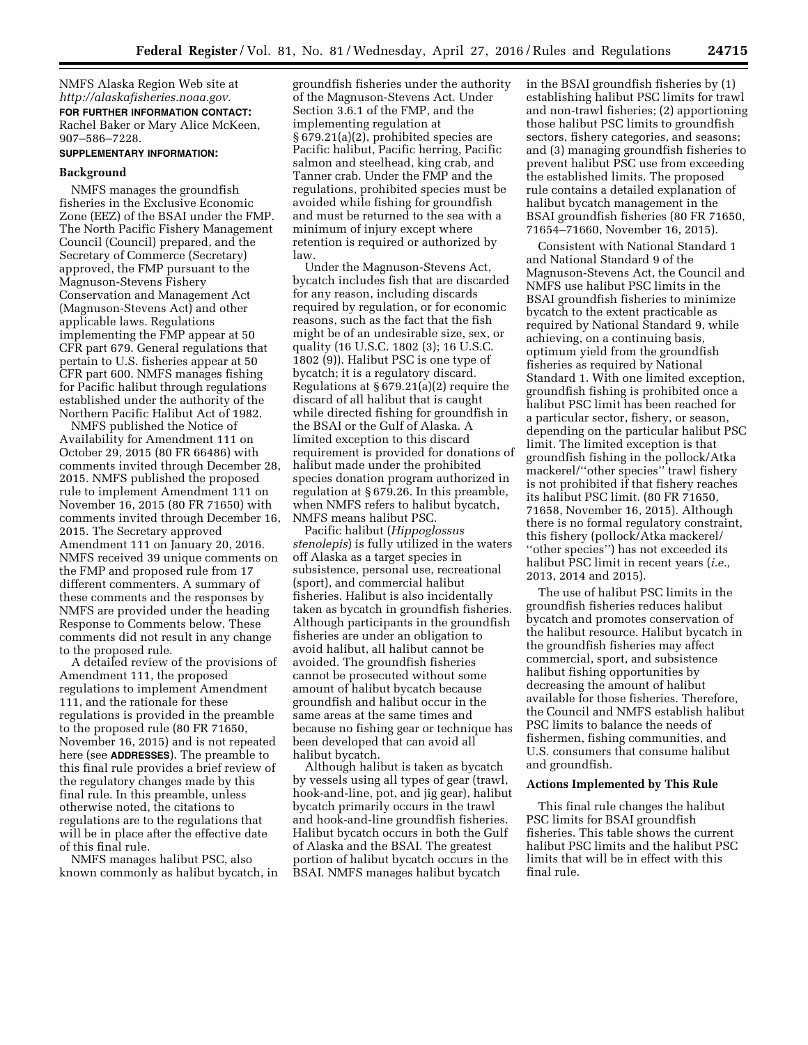NMFS Alaska Region Web site at *[http://alaskafisheries.noaa.gov.](http://alaskafisheries.noaa.gov)*  **FOR FURTHER INFORMATION CONTACT:**  Rachel Baker or Mary Alice McKeen, 907–586–7228.

#### **SUPPLEMENTARY INFORMATION:**

### **Background**

NMFS manages the groundfish fisheries in the Exclusive Economic Zone (EEZ) of the BSAI under the FMP. The North Pacific Fishery Management Council (Council) prepared, and the Secretary of Commerce (Secretary) approved, the FMP pursuant to the Magnuson-Stevens Fishery Conservation and Management Act (Magnuson-Stevens Act) and other applicable laws. Regulations implementing the FMP appear at 50 CFR part 679. General regulations that pertain to U.S. fisheries appear at 50 CFR part 600. NMFS manages fishing for Pacific halibut through regulations established under the authority of the Northern Pacific Halibut Act of 1982.

NMFS published the Notice of Availability for Amendment 111 on October 29, 2015 (80 FR 66486) with comments invited through December 28, 2015. NMFS published the proposed rule to implement Amendment 111 on November 16, 2015 (80 FR 71650) with comments invited through December 16, 2015. The Secretary approved Amendment 111 on January 20, 2016. NMFS received 39 unique comments on the FMP and proposed rule from 17 different commenters. A summary of these comments and the responses by NMFS are provided under the heading Response to Comments below. These comments did not result in any change to the proposed rule.

A detailed review of the provisions of Amendment 111, the proposed regulations to implement Amendment 111, and the rationale for these regulations is provided in the preamble to the proposed rule (80 FR 71650, November 16, 2015) and is not repeated here (see **ADDRESSES**). The preamble to this final rule provides a brief review of the regulatory changes made by this final rule. In this preamble, unless otherwise noted, the citations to regulations are to the regulations that will be in place after the effective date of this final rule.

NMFS manages halibut PSC, also known commonly as halibut bycatch, in

groundfish fisheries under the authority of the Magnuson-Stevens Act. Under Section 3.6.1 of the FMP, and the implementing regulation at § 679.21(a)(2), prohibited species are Pacific halibut, Pacific herring, Pacific salmon and steelhead, king crab, and Tanner crab. Under the FMP and the regulations, prohibited species must be avoided while fishing for groundfish and must be returned to the sea with a minimum of injury except where retention is required or authorized by law.

Under the Magnuson-Stevens Act, bycatch includes fish that are discarded for any reason, including discards required by regulation, or for economic reasons, such as the fact that the fish might be of an undesirable size, sex, or quality (16 U.S.C. 1802 (3); 16 U.S.C. 1802 (9)). Halibut PSC is one type of bycatch; it is a regulatory discard. Regulations at § 679.21(a)(2) require the discard of all halibut that is caught while directed fishing for groundfish in the BSAI or the Gulf of Alaska. A limited exception to this discard requirement is provided for donations of halibut made under the prohibited species donation program authorized in regulation at § 679.26. In this preamble, when NMFS refers to halibut bycatch, NMFS means halibut PSC.

Pacific halibut (*Hippoglossus stenolepis*) is fully utilized in the waters off Alaska as a target species in subsistence, personal use, recreational (sport), and commercial halibut fisheries. Halibut is also incidentally taken as bycatch in groundfish fisheries. Although participants in the groundfish fisheries are under an obligation to avoid halibut, all halibut cannot be avoided. The groundfish fisheries cannot be prosecuted without some amount of halibut bycatch because groundfish and halibut occur in the same areas at the same times and because no fishing gear or technique has been developed that can avoid all halibut bycatch.

Although halibut is taken as bycatch by vessels using all types of gear (trawl, hook-and-line, pot, and jig gear), halibut bycatch primarily occurs in the trawl and hook-and-line groundfish fisheries. Halibut bycatch occurs in both the Gulf of Alaska and the BSAI. The greatest portion of halibut bycatch occurs in the BSAI. NMFS manages halibut bycatch

in the BSAI groundfish fisheries by (1) establishing halibut PSC limits for trawl and non-trawl fisheries; (2) apportioning those halibut PSC limits to groundfish sectors, fishery categories, and seasons; and (3) managing groundfish fisheries to prevent halibut PSC use from exceeding the established limits. The proposed rule contains a detailed explanation of halibut bycatch management in the BSAI groundfish fisheries (80 FR 71650, 71654–71660, November 16, 2015).

Consistent with National Standard 1 and National Standard 9 of the Magnuson-Stevens Act, the Council and NMFS use halibut PSC limits in the BSAI groundfish fisheries to minimize bycatch to the extent practicable as required by National Standard 9, while achieving, on a continuing basis, optimum yield from the groundfish fisheries as required by National Standard 1. With one limited exception, groundfish fishing is prohibited once a halibut PSC limit has been reached for a particular sector, fishery, or season, depending on the particular halibut PSC limit. The limited exception is that groundfish fishing in the pollock/Atka mackerel/''other species'' trawl fishery is not prohibited if that fishery reaches its halibut PSC limit. (80 FR 71650, 71658, November 16, 2015). Although there is no formal regulatory constraint, this fishery (pollock/Atka mackerel/ ''other species'') has not exceeded its halibut PSC limit in recent years (*i.e.,*  2013, 2014 and 2015).

The use of halibut PSC limits in the groundfish fisheries reduces halibut bycatch and promotes conservation of the halibut resource. Halibut bycatch in the groundfish fisheries may affect commercial, sport, and subsistence halibut fishing opportunities by decreasing the amount of halibut available for those fisheries. Therefore, the Council and NMFS establish halibut PSC limits to balance the needs of fishermen, fishing communities, and U.S. consumers that consume halibut and groundfish.

### **Actions Implemented by This Rule**

This final rule changes the halibut PSC limits for BSAI groundfish fisheries. This table shows the current halibut PSC limits and the halibut PSC limits that will be in effect with this final rule.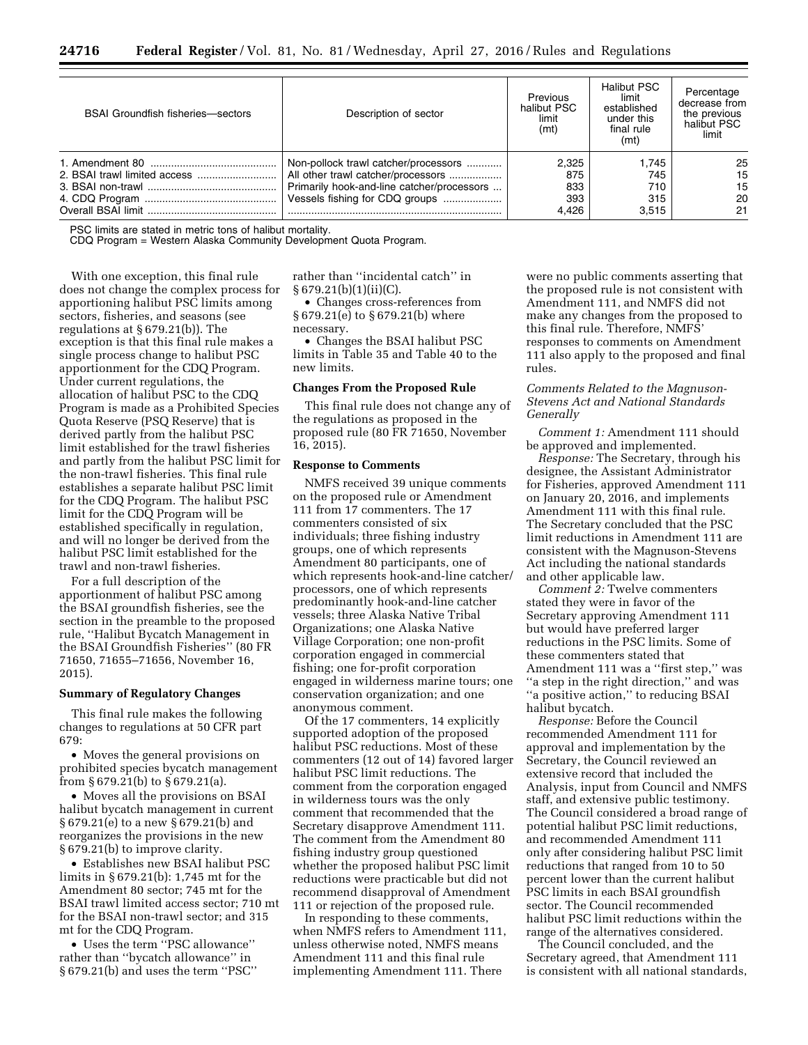| <b>BSAI Groundfish fisheries—sectors</b> | Description of sector                                                                                                                                      | Previous<br>halibut PSC<br>limit<br>(mt) | <b>Halibut PSC</b><br>limit<br>established<br>under this<br>final rule<br>(mt) | Percentage<br>decrease from<br>the previous<br>halibut PSC<br>limit |
|------------------------------------------|------------------------------------------------------------------------------------------------------------------------------------------------------------|------------------------------------------|--------------------------------------------------------------------------------|---------------------------------------------------------------------|
|                                          | Non-pollock trawl catcher/processors<br>All other trawl catcher/processors<br>Primarily hook-and-line catcher/processors<br>Vessels fishing for CDQ groups | 2,325<br>875<br>833<br>393<br>4.426      | 1.745<br>745<br>710<br>315<br>3.515                                            | 25<br>15<br>15<br>20<br>21                                          |

PSC limits are stated in metric tons of halibut mortality.

CDQ Program = Western Alaska Community Development Quota Program.

With one exception, this final rule does not change the complex process for apportioning halibut PSC limits among sectors, fisheries, and seasons (see regulations at § 679.21(b)). The exception is that this final rule makes a single process change to halibut PSC apportionment for the CDQ Program. Under current regulations, the allocation of halibut PSC to the CDQ Program is made as a Prohibited Species Quota Reserve (PSQ Reserve) that is derived partly from the halibut PSC limit established for the trawl fisheries and partly from the halibut PSC limit for the non-trawl fisheries. This final rule establishes a separate halibut PSC limit for the CDQ Program. The halibut PSC limit for the CDQ Program will be established specifically in regulation, and will no longer be derived from the halibut PSC limit established for the trawl and non-trawl fisheries.

For a full description of the apportionment of halibut PSC among the BSAI groundfish fisheries, see the section in the preamble to the proposed rule, ''Halibut Bycatch Management in the BSAI Groundfish Fisheries'' (80 FR 71650, 71655–71656, November 16, 2015).

#### **Summary of Regulatory Changes**

This final rule makes the following changes to regulations at 50 CFR part 679:

• Moves the general provisions on prohibited species bycatch management from § 679.21(b) to § 679.21(a).

• Moves all the provisions on BSAI halibut bycatch management in current § 679.21(e) to a new § 679.21(b) and reorganizes the provisions in the new § 679.21(b) to improve clarity.

• Establishes new BSAI halibut PSC limits in § 679.21(b): 1,745 mt for the Amendment 80 sector; 745 mt for the BSAI trawl limited access sector; 710 mt for the BSAI non-trawl sector; and 315 mt for the CDQ Program.

• Uses the term ''PSC allowance'' rather than ''bycatch allowance'' in § 679.21(b) and uses the term ''PSC'' rather than ''incidental catch'' in § 679.21(b)(1)(ii)(C).

• Changes cross-references from § 679.21(e) to § 679.21(b) where necessary.

• Changes the BSAI halibut PSC limits in Table 35 and Table 40 to the new limits.

#### **Changes From the Proposed Rule**

This final rule does not change any of the regulations as proposed in the proposed rule (80 FR 71650, November 16, 2015).

### **Response to Comments**

NMFS received 39 unique comments on the proposed rule or Amendment 111 from 17 commenters. The 17 commenters consisted of six individuals; three fishing industry groups, one of which represents Amendment 80 participants, one of which represents hook-and-line catcher/ processors, one of which represents predominantly hook-and-line catcher vessels; three Alaska Native Tribal Organizations; one Alaska Native Village Corporation; one non-profit corporation engaged in commercial fishing; one for-profit corporation engaged in wilderness marine tours; one conservation organization; and one anonymous comment.

Of the 17 commenters, 14 explicitly supported adoption of the proposed halibut PSC reductions. Most of these commenters (12 out of 14) favored larger halibut PSC limit reductions. The comment from the corporation engaged in wilderness tours was the only comment that recommended that the Secretary disapprove Amendment 111. The comment from the Amendment 80 fishing industry group questioned whether the proposed halibut PSC limit reductions were practicable but did not recommend disapproval of Amendment 111 or rejection of the proposed rule.

In responding to these comments, when NMFS refers to Amendment 111, unless otherwise noted, NMFS means Amendment 111 and this final rule implementing Amendment 111. There

were no public comments asserting that the proposed rule is not consistent with Amendment 111, and NMFS did not make any changes from the proposed to this final rule. Therefore, NMFS' responses to comments on Amendment 111 also apply to the proposed and final rules.

### *Comments Related to the Magnuson-Stevens Act and National Standards Generally*

*Comment 1:* Amendment 111 should be approved and implemented.

*Response:* The Secretary, through his designee, the Assistant Administrator for Fisheries, approved Amendment 111 on January 20, 2016, and implements Amendment 111 with this final rule. The Secretary concluded that the PSC limit reductions in Amendment 111 are consistent with the Magnuson-Stevens Act including the national standards and other applicable law.

*Comment 2:* Twelve commenters stated they were in favor of the Secretary approving Amendment 111 but would have preferred larger reductions in the PSC limits. Some of these commenters stated that Amendment 111 was a ''first step,'' was ''a step in the right direction,'' and was "a positive action," to reducing BSAI halibut bycatch.

*Response:* Before the Council recommended Amendment 111 for approval and implementation by the Secretary, the Council reviewed an extensive record that included the Analysis, input from Council and NMFS staff, and extensive public testimony. The Council considered a broad range of potential halibut PSC limit reductions, and recommended Amendment 111 only after considering halibut PSC limit reductions that ranged from 10 to 50 percent lower than the current halibut PSC limits in each BSAI groundfish sector. The Council recommended halibut PSC limit reductions within the range of the alternatives considered.

The Council concluded, and the Secretary agreed, that Amendment 111 is consistent with all national standards,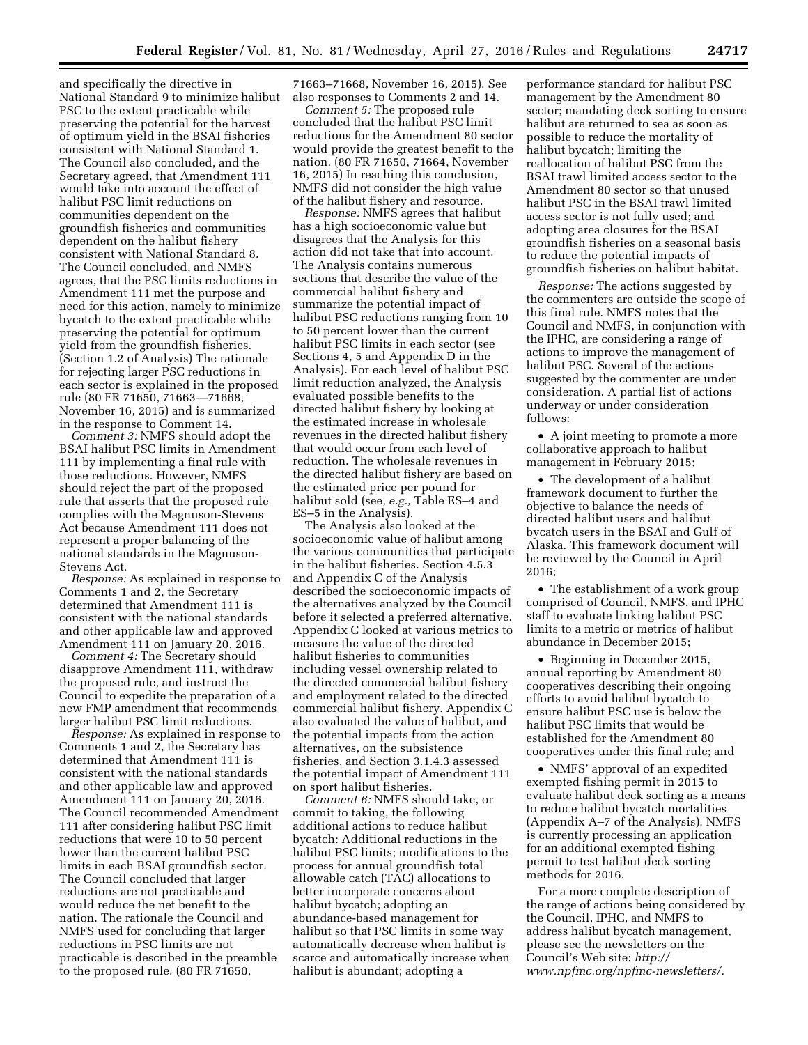and specifically the directive in National Standard 9 to minimize halibut PSC to the extent practicable while preserving the potential for the harvest of optimum yield in the BSAI fisheries consistent with National Standard 1. The Council also concluded, and the Secretary agreed, that Amendment 111 would take into account the effect of halibut PSC limit reductions on communities dependent on the groundfish fisheries and communities dependent on the halibut fishery consistent with National Standard 8. The Council concluded, and NMFS agrees, that the PSC limits reductions in Amendment 111 met the purpose and need for this action, namely to minimize bycatch to the extent practicable while preserving the potential for optimum yield from the groundfish fisheries. (Section 1.2 of Analysis) The rationale for rejecting larger PSC reductions in each sector is explained in the proposed rule (80 FR 71650, 71663—71668, November 16, 2015) and is summarized in the response to Comment 14.

*Comment 3:* NMFS should adopt the BSAI halibut PSC limits in Amendment 111 by implementing a final rule with those reductions. However, NMFS should reject the part of the proposed rule that asserts that the proposed rule complies with the Magnuson-Stevens Act because Amendment 111 does not represent a proper balancing of the national standards in the Magnuson-Stevens Act.

*Response:* As explained in response to Comments 1 and 2, the Secretary determined that Amendment 111 is consistent with the national standards and other applicable law and approved Amendment 111 on January 20, 2016.

*Comment 4:* The Secretary should disapprove Amendment 111, withdraw the proposed rule, and instruct the Council to expedite the preparation of a new FMP amendment that recommends larger halibut PSC limit reductions.

*Response:* As explained in response to Comments 1 and 2, the Secretary has determined that Amendment 111 is consistent with the national standards and other applicable law and approved Amendment 111 on January 20, 2016. The Council recommended Amendment 111 after considering halibut PSC limit reductions that were 10 to 50 percent lower than the current halibut PSC limits in each BSAI groundfish sector. The Council concluded that larger reductions are not practicable and would reduce the net benefit to the nation. The rationale the Council and NMFS used for concluding that larger reductions in PSC limits are not practicable is described in the preamble to the proposed rule. (80 FR 71650,

71663–71668, November 16, 2015). See also responses to Comments 2 and 14.

*Comment 5:* The proposed rule concluded that the halibut PSC limit reductions for the Amendment 80 sector would provide the greatest benefit to the nation. (80 FR 71650, 71664, November 16, 2015) In reaching this conclusion, NMFS did not consider the high value of the halibut fishery and resource.

*Response:* NMFS agrees that halibut has a high socioeconomic value but disagrees that the Analysis for this action did not take that into account. The Analysis contains numerous sections that describe the value of the commercial halibut fishery and summarize the potential impact of halibut PSC reductions ranging from 10 to 50 percent lower than the current halibut PSC limits in each sector (see Sections 4, 5 and Appendix D in the Analysis). For each level of halibut PSC limit reduction analyzed, the Analysis evaluated possible benefits to the directed halibut fishery by looking at the estimated increase in wholesale revenues in the directed halibut fishery that would occur from each level of reduction. The wholesale revenues in the directed halibut fishery are based on the estimated price per pound for halibut sold (see, *e.g.,* Table ES–4 and ES–5 in the Analysis).

The Analysis also looked at the socioeconomic value of halibut among the various communities that participate in the halibut fisheries. Section 4.5.3 and Appendix C of the Analysis described the socioeconomic impacts of the alternatives analyzed by the Council before it selected a preferred alternative. Appendix C looked at various metrics to measure the value of the directed halibut fisheries to communities including vessel ownership related to the directed commercial halibut fishery and employment related to the directed commercial halibut fishery. Appendix C also evaluated the value of halibut, and the potential impacts from the action alternatives, on the subsistence fisheries, and Section 3.1.4.3 assessed the potential impact of Amendment 111 on sport halibut fisheries.

*Comment 6:* NMFS should take, or commit to taking, the following additional actions to reduce halibut bycatch: Additional reductions in the halibut PSC limits; modifications to the process for annual groundfish total allowable catch (TAC) allocations to better incorporate concerns about halibut bycatch; adopting an abundance-based management for halibut so that PSC limits in some way automatically decrease when halibut is scarce and automatically increase when halibut is abundant; adopting a

performance standard for halibut PSC management by the Amendment 80 sector; mandating deck sorting to ensure halibut are returned to sea as soon as possible to reduce the mortality of halibut bycatch; limiting the reallocation of halibut PSC from the BSAI trawl limited access sector to the Amendment 80 sector so that unused halibut PSC in the BSAI trawl limited access sector is not fully used; and adopting area closures for the BSAI groundfish fisheries on a seasonal basis to reduce the potential impacts of groundfish fisheries on halibut habitat.

*Response:* The actions suggested by the commenters are outside the scope of this final rule. NMFS notes that the Council and NMFS, in conjunction with the IPHC, are considering a range of actions to improve the management of halibut PSC. Several of the actions suggested by the commenter are under consideration. A partial list of actions underway or under consideration follows:

• A joint meeting to promote a more collaborative approach to halibut management in February 2015;

• The development of a halibut framework document to further the objective to balance the needs of directed halibut users and halibut bycatch users in the BSAI and Gulf of Alaska. This framework document will be reviewed by the Council in April 2016;

• The establishment of a work group comprised of Council, NMFS, and IPHC staff to evaluate linking halibut PSC limits to a metric or metrics of halibut abundance in December 2015;

• Beginning in December 2015, annual reporting by Amendment 80 cooperatives describing their ongoing efforts to avoid halibut bycatch to ensure halibut PSC use is below the halibut PSC limits that would be established for the Amendment 80 cooperatives under this final rule; and

• NMFS' approval of an expedited exempted fishing permit in 2015 to evaluate halibut deck sorting as a means to reduce halibut bycatch mortalities (Appendix A–7 of the Analysis). NMFS is currently processing an application for an additional exempted fishing permit to test halibut deck sorting methods for 2016.

For a more complete description of the range of actions being considered by the Council, IPHC, and NMFS to address halibut bycatch management, please see the newsletters on the Council's Web site: *[http://](http://www.npfmc.org/npfmc-newsletters/) [www.npfmc.org/npfmc-newsletters/.](http://www.npfmc.org/npfmc-newsletters/)*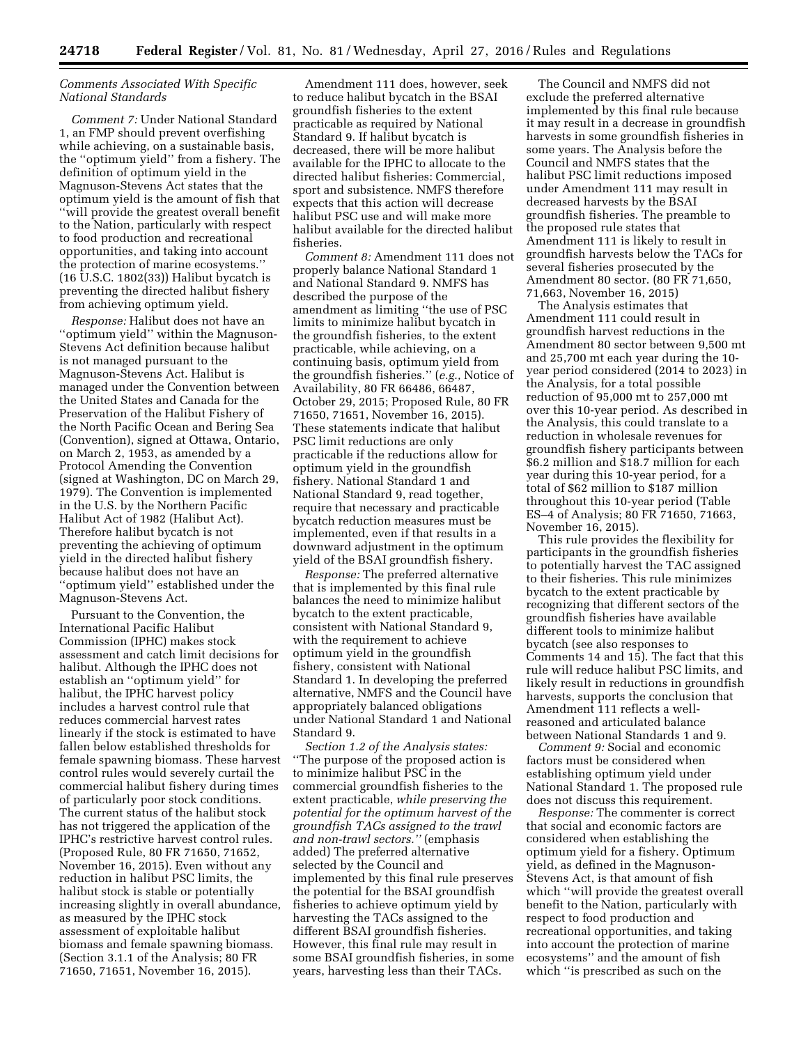### *Comments Associated With Specific National Standards*

*Comment 7:* Under National Standard 1, an FMP should prevent overfishing while achieving, on a sustainable basis, the ''optimum yield'' from a fishery. The definition of optimum yield in the Magnuson-Stevens Act states that the optimum yield is the amount of fish that ''will provide the greatest overall benefit to the Nation, particularly with respect to food production and recreational opportunities, and taking into account the protection of marine ecosystems.'' (16 U.S.C. 1802(33)) Halibut bycatch is preventing the directed halibut fishery from achieving optimum yield.

*Response:* Halibut does not have an ''optimum yield'' within the Magnuson-Stevens Act definition because halibut is not managed pursuant to the Magnuson-Stevens Act. Halibut is managed under the Convention between the United States and Canada for the Preservation of the Halibut Fishery of the North Pacific Ocean and Bering Sea (Convention), signed at Ottawa, Ontario, on March 2, 1953, as amended by a Protocol Amending the Convention (signed at Washington, DC on March 29, 1979). The Convention is implemented in the U.S. by the Northern Pacific Halibut Act of 1982 (Halibut Act). Therefore halibut bycatch is not preventing the achieving of optimum yield in the directed halibut fishery because halibut does not have an ''optimum yield'' established under the Magnuson-Stevens Act.

Pursuant to the Convention, the International Pacific Halibut Commission (IPHC) makes stock assessment and catch limit decisions for halibut. Although the IPHC does not establish an ''optimum yield'' for halibut, the IPHC harvest policy includes a harvest control rule that reduces commercial harvest rates linearly if the stock is estimated to have fallen below established thresholds for female spawning biomass. These harvest control rules would severely curtail the commercial halibut fishery during times of particularly poor stock conditions. The current status of the halibut stock has not triggered the application of the IPHC's restrictive harvest control rules. (Proposed Rule, 80 FR 71650, 71652, November 16, 2015). Even without any reduction in halibut PSC limits, the halibut stock is stable or potentially increasing slightly in overall abundance, as measured by the IPHC stock assessment of exploitable halibut biomass and female spawning biomass. (Section 3.1.1 of the Analysis; 80 FR 71650, 71651, November 16, 2015).

Amendment 111 does, however, seek to reduce halibut bycatch in the BSAI groundfish fisheries to the extent practicable as required by National Standard 9. If halibut bycatch is decreased, there will be more halibut available for the IPHC to allocate to the directed halibut fisheries: Commercial, sport and subsistence. NMFS therefore expects that this action will decrease halibut PSC use and will make more halibut available for the directed halibut fisheries.

*Comment 8:* Amendment 111 does not properly balance National Standard 1 and National Standard 9. NMFS has described the purpose of the amendment as limiting ''the use of PSC limits to minimize halibut bycatch in the groundfish fisheries, to the extent practicable, while achieving, on a continuing basis, optimum yield from the groundfish fisheries.'' (*e.g.,* Notice of Availability, 80 FR 66486, 66487, October 29, 2015; Proposed Rule, 80 FR 71650, 71651, November 16, 2015). These statements indicate that halibut PSC limit reductions are only practicable if the reductions allow for optimum yield in the groundfish fishery. National Standard 1 and National Standard 9, read together, require that necessary and practicable bycatch reduction measures must be implemented, even if that results in a downward adjustment in the optimum yield of the BSAI groundfish fishery.

*Response:* The preferred alternative that is implemented by this final rule balances the need to minimize halibut bycatch to the extent practicable, consistent with National Standard 9, with the requirement to achieve optimum yield in the groundfish fishery, consistent with National Standard 1. In developing the preferred alternative, NMFS and the Council have appropriately balanced obligations under National Standard 1 and National Standard 9.

*Section 1.2 of the Analysis states:*  ''The purpose of the proposed action is to minimize halibut PSC in the commercial groundfish fisheries to the extent practicable, *while preserving the potential for the optimum harvest of the groundfish TACs assigned to the trawl and non-trawl sectors.''* (emphasis added) The preferred alternative selected by the Council and implemented by this final rule preserves the potential for the BSAI groundfish fisheries to achieve optimum yield by harvesting the TACs assigned to the different BSAI groundfish fisheries. However, this final rule may result in some BSAI groundfish fisheries, in some years, harvesting less than their TACs.

The Council and NMFS did not exclude the preferred alternative implemented by this final rule because it may result in a decrease in groundfish harvests in some groundfish fisheries in some years. The Analysis before the Council and NMFS states that the halibut PSC limit reductions imposed under Amendment 111 may result in decreased harvests by the BSAI groundfish fisheries. The preamble to the proposed rule states that Amendment 111 is likely to result in groundfish harvests below the TACs for several fisheries prosecuted by the Amendment 80 sector. (80 FR 71,650, 71,663, November 16, 2015)

The Analysis estimates that Amendment 111 could result in groundfish harvest reductions in the Amendment 80 sector between 9,500 mt and 25,700 mt each year during the 10 year period considered (2014 to 2023) in the Analysis, for a total possible reduction of 95,000 mt to 257,000 mt over this 10-year period. As described in the Analysis, this could translate to a reduction in wholesale revenues for groundfish fishery participants between \$6.2 million and \$18.7 million for each year during this 10-year period, for a total of \$62 million to \$187 million throughout this 10-year period (Table ES–4 of Analysis; 80 FR 71650, 71663, November 16, 2015).

This rule provides the flexibility for participants in the groundfish fisheries to potentially harvest the TAC assigned to their fisheries. This rule minimizes bycatch to the extent practicable by recognizing that different sectors of the groundfish fisheries have available different tools to minimize halibut bycatch (see also responses to Comments 14 and 15). The fact that this rule will reduce halibut PSC limits, and likely result in reductions in groundfish harvests, supports the conclusion that Amendment 111 reflects a wellreasoned and articulated balance between National Standards 1 and 9.

*Comment 9:* Social and economic factors must be considered when establishing optimum yield under National Standard 1. The proposed rule does not discuss this requirement.

*Response:* The commenter is correct that social and economic factors are considered when establishing the optimum yield for a fishery. Optimum yield, as defined in the Magnuson-Stevens Act, is that amount of fish which ''will provide the greatest overall benefit to the Nation, particularly with respect to food production and recreational opportunities, and taking into account the protection of marine ecosystems'' and the amount of fish which "is prescribed as such on the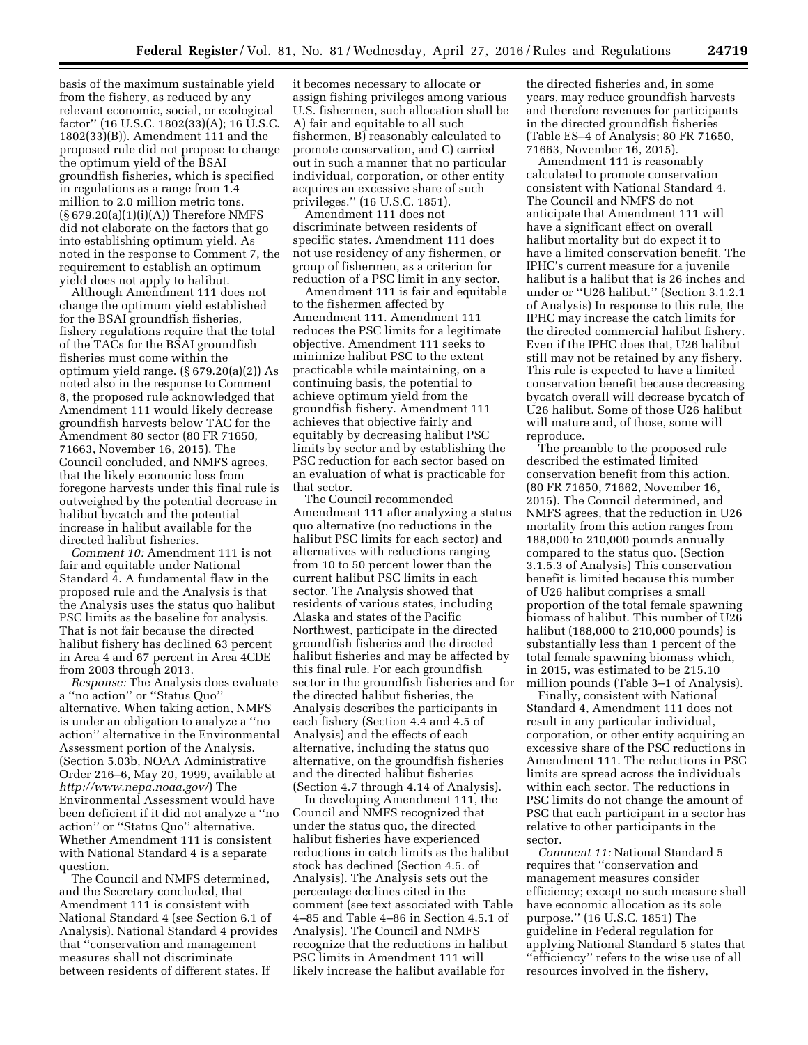basis of the maximum sustainable yield from the fishery, as reduced by any relevant economic, social, or ecological factor'' (16 U.S.C. 1802(33)(A); 16 U.S.C. 1802(33)(B)). Amendment 111 and the proposed rule did not propose to change the optimum yield of the BSAI groundfish fisheries, which is specified in regulations as a range from 1.4 million to 2.0 million metric tons. (§ 679.20(a)(1)(i)(A)) Therefore NMFS did not elaborate on the factors that go into establishing optimum yield. As noted in the response to Comment 7, the requirement to establish an optimum yield does not apply to halibut.

Although Amendment 111 does not change the optimum yield established for the BSAI groundfish fisheries, fishery regulations require that the total of the TACs for the BSAI groundfish fisheries must come within the optimum yield range. (§ 679.20(a)(2)) As noted also in the response to Comment 8, the proposed rule acknowledged that Amendment 111 would likely decrease groundfish harvests below TAC for the Amendment 80 sector (80 FR 71650, 71663, November 16, 2015). The Council concluded, and NMFS agrees, that the likely economic loss from foregone harvests under this final rule is outweighed by the potential decrease in halibut bycatch and the potential increase in halibut available for the directed halibut fisheries.

*Comment 10:* Amendment 111 is not fair and equitable under National Standard 4. A fundamental flaw in the proposed rule and the Analysis is that the Analysis uses the status quo halibut PSC limits as the baseline for analysis. That is not fair because the directed halibut fishery has declined 63 percent in Area 4 and 67 percent in Area 4CDE from 2003 through 2013.

*Response:* The Analysis does evaluate a ''no action'' or ''Status Quo'' alternative. When taking action, NMFS is under an obligation to analyze a ''no action'' alternative in the Environmental Assessment portion of the Analysis. (Section 5.03b, NOAA Administrative Order 216–6, May 20, 1999, available at *<http://www.nepa.noaa.gov/>*) The Environmental Assessment would have been deficient if it did not analyze a ''no action'' or ''Status Quo'' alternative. Whether Amendment 111 is consistent with National Standard 4 is a separate question.

The Council and NMFS determined, and the Secretary concluded, that Amendment 111 is consistent with National Standard 4 (see Section 6.1 of Analysis). National Standard 4 provides that ''conservation and management measures shall not discriminate between residents of different states. If

it becomes necessary to allocate or assign fishing privileges among various U.S. fishermen, such allocation shall be A) fair and equitable to all such fishermen, B) reasonably calculated to promote conservation, and C) carried out in such a manner that no particular individual, corporation, or other entity acquires an excessive share of such privileges.'' (16 U.S.C. 1851).

Amendment 111 does not discriminate between residents of specific states. Amendment 111 does not use residency of any fishermen, or group of fishermen, as a criterion for reduction of a PSC limit in any sector.

Amendment 111 is fair and equitable to the fishermen affected by Amendment 111. Amendment 111 reduces the PSC limits for a legitimate objective. Amendment 111 seeks to minimize halibut PSC to the extent practicable while maintaining, on a continuing basis, the potential to achieve optimum yield from the groundfish fishery. Amendment 111 achieves that objective fairly and equitably by decreasing halibut PSC limits by sector and by establishing the PSC reduction for each sector based on an evaluation of what is practicable for that sector.

The Council recommended Amendment 111 after analyzing a status quo alternative (no reductions in the halibut PSC limits for each sector) and alternatives with reductions ranging from 10 to 50 percent lower than the current halibut PSC limits in each sector. The Analysis showed that residents of various states, including Alaska and states of the Pacific Northwest, participate in the directed groundfish fisheries and the directed halibut fisheries and may be affected by this final rule. For each groundfish sector in the groundfish fisheries and for the directed halibut fisheries, the Analysis describes the participants in each fishery (Section 4.4 and 4.5 of Analysis) and the effects of each alternative, including the status quo alternative, on the groundfish fisheries and the directed halibut fisheries (Section 4.7 through 4.14 of Analysis).

In developing Amendment 111, the Council and NMFS recognized that under the status quo, the directed halibut fisheries have experienced reductions in catch limits as the halibut stock has declined (Section 4.5. of Analysis). The Analysis sets out the percentage declines cited in the comment (see text associated with Table 4–85 and Table 4–86 in Section 4.5.1 of Analysis). The Council and NMFS recognize that the reductions in halibut PSC limits in Amendment 111 will likely increase the halibut available for

the directed fisheries and, in some years, may reduce groundfish harvests and therefore revenues for participants in the directed groundfish fisheries (Table ES–4 of Analysis; 80 FR 71650, 71663, November 16, 2015).

Amendment 111 is reasonably calculated to promote conservation consistent with National Standard 4. The Council and NMFS do not anticipate that Amendment 111 will have a significant effect on overall halibut mortality but do expect it to have a limited conservation benefit. The IPHC's current measure for a juvenile halibut is a halibut that is 26 inches and under or ''U26 halibut.'' (Section 3.1.2.1 of Analysis) In response to this rule, the IPHC may increase the catch limits for the directed commercial halibut fishery. Even if the IPHC does that, U26 halibut still may not be retained by any fishery. This rule is expected to have a limited conservation benefit because decreasing bycatch overall will decrease bycatch of U26 halibut. Some of those U26 halibut will mature and, of those, some will reproduce.

The preamble to the proposed rule described the estimated limited conservation benefit from this action. (80 FR 71650, 71662, November 16, 2015). The Council determined, and NMFS agrees, that the reduction in U26 mortality from this action ranges from 188,000 to 210,000 pounds annually compared to the status quo. (Section 3.1.5.3 of Analysis) This conservation benefit is limited because this number of U26 halibut comprises a small proportion of the total female spawning biomass of halibut. This number of U26 halibut (188,000 to 210,000 pounds) is substantially less than 1 percent of the total female spawning biomass which, in 2015, was estimated to be 215.10 million pounds (Table 3–1 of Analysis).

Finally, consistent with National Standard 4, Amendment 111 does not result in any particular individual, corporation, or other entity acquiring an excessive share of the PSC reductions in Amendment 111. The reductions in PSC limits are spread across the individuals within each sector. The reductions in PSC limits do not change the amount of PSC that each participant in a sector has relative to other participants in the sector.

*Comment 11:* National Standard 5 requires that ''conservation and management measures consider efficiency; except no such measure shall have economic allocation as its sole purpose.'' (16 U.S.C. 1851) The guideline in Federal regulation for applying National Standard 5 states that ''efficiency'' refers to the wise use of all resources involved in the fishery,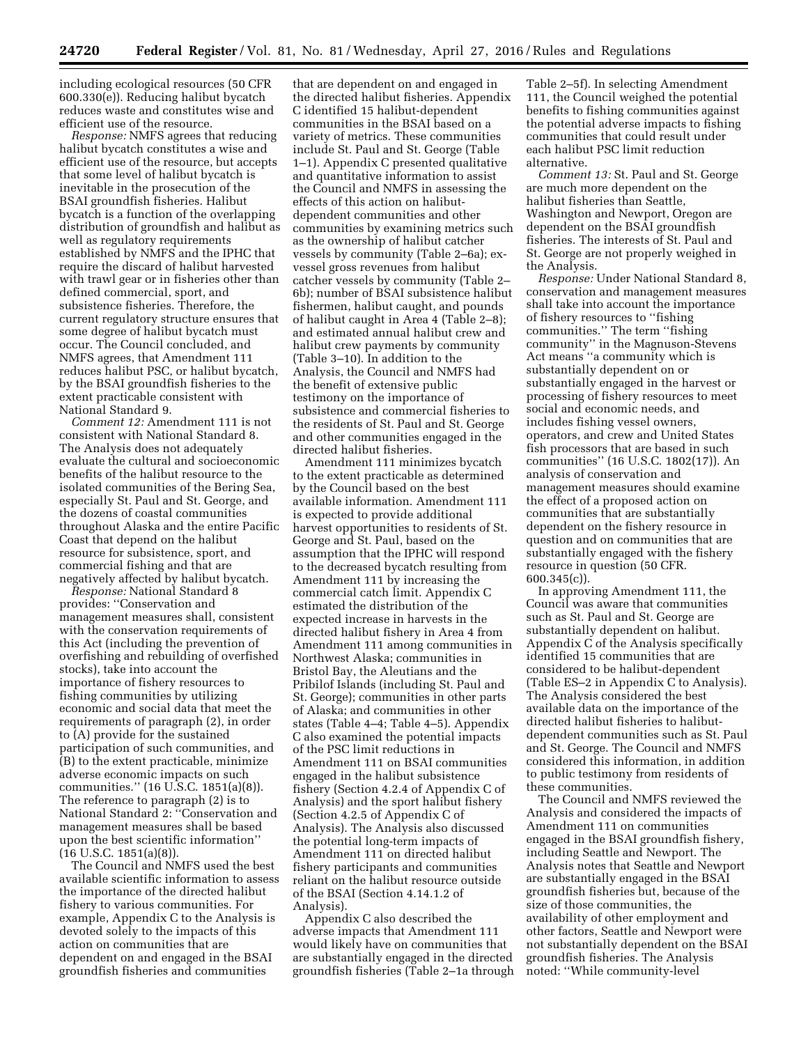including ecological resources (50 CFR 600.330(e)). Reducing halibut bycatch reduces waste and constitutes wise and efficient use of the resource.

*Response:* NMFS agrees that reducing halibut bycatch constitutes a wise and efficient use of the resource, but accepts that some level of halibut bycatch is inevitable in the prosecution of the BSAI groundfish fisheries. Halibut bycatch is a function of the overlapping distribution of groundfish and halibut as well as regulatory requirements established by NMFS and the IPHC that require the discard of halibut harvested with trawl gear or in fisheries other than defined commercial, sport, and subsistence fisheries. Therefore, the current regulatory structure ensures that some degree of halibut bycatch must occur. The Council concluded, and NMFS agrees, that Amendment 111 reduces halibut PSC, or halibut bycatch, by the BSAI groundfish fisheries to the extent practicable consistent with National Standard 9.

*Comment 12:* Amendment 111 is not consistent with National Standard 8. The Analysis does not adequately evaluate the cultural and socioeconomic benefits of the halibut resource to the isolated communities of the Bering Sea, especially St. Paul and St. George, and the dozens of coastal communities throughout Alaska and the entire Pacific Coast that depend on the halibut resource for subsistence, sport, and commercial fishing and that are negatively affected by halibut bycatch.

*Response:* National Standard 8 provides: ''Conservation and management measures shall, consistent with the conservation requirements of this Act (including the prevention of overfishing and rebuilding of overfished stocks), take into account the importance of fishery resources to fishing communities by utilizing economic and social data that meet the requirements of paragraph (2), in order to (A) provide for the sustained participation of such communities, and (B) to the extent practicable, minimize adverse economic impacts on such communities.'' (16 U.S.C. 1851(a)(8)). The reference to paragraph (2) is to National Standard 2: ''Conservation and management measures shall be based upon the best scientific information''  $(16 \text{ U.S.C. } 1851(a)(8))$ .

The Council and NMFS used the best available scientific information to assess the importance of the directed halibut fishery to various communities. For example, Appendix C to the Analysis is devoted solely to the impacts of this action on communities that are dependent on and engaged in the BSAI groundfish fisheries and communities

that are dependent on and engaged in the directed halibut fisheries. Appendix C identified 15 halibut-dependent communities in the BSAI based on a variety of metrics. These communities include St. Paul and St. George (Table 1–1). Appendix C presented qualitative and quantitative information to assist the Council and NMFS in assessing the effects of this action on halibutdependent communities and other communities by examining metrics such as the ownership of halibut catcher vessels by community (Table 2–6a); exvessel gross revenues from halibut catcher vessels by community (Table 2– 6b); number of BSAI subsistence halibut fishermen, halibut caught, and pounds of halibut caught in Area 4 (Table 2–8); and estimated annual halibut crew and halibut crew payments by community (Table 3–10). In addition to the Analysis, the Council and NMFS had the benefit of extensive public testimony on the importance of subsistence and commercial fisheries to the residents of St. Paul and St. George and other communities engaged in the directed halibut fisheries.

Amendment 111 minimizes bycatch to the extent practicable as determined by the Council based on the best available information. Amendment 111 is expected to provide additional harvest opportunities to residents of St. George and St. Paul, based on the assumption that the IPHC will respond to the decreased bycatch resulting from Amendment 111 by increasing the commercial catch limit. Appendix C estimated the distribution of the expected increase in harvests in the directed halibut fishery in Area 4 from Amendment 111 among communities in Northwest Alaska; communities in Bristol Bay, the Aleutians and the Pribilof Islands (including St. Paul and St. George); communities in other parts of Alaska; and communities in other states (Table 4–4; Table 4–5). Appendix C also examined the potential impacts of the PSC limit reductions in Amendment 111 on BSAI communities engaged in the halibut subsistence fishery (Section 4.2.4 of Appendix C of Analysis) and the sport halibut fishery (Section 4.2.5 of Appendix C of Analysis). The Analysis also discussed the potential long-term impacts of Amendment 111 on directed halibut fishery participants and communities reliant on the halibut resource outside of the BSAI (Section 4.14.1.2 of Analysis).

Appendix C also described the adverse impacts that Amendment 111 would likely have on communities that are substantially engaged in the directed groundfish fisheries (Table 2–1a through

Table 2–5f). In selecting Amendment 111, the Council weighed the potential benefits to fishing communities against the potential adverse impacts to fishing communities that could result under each halibut PSC limit reduction alternative.

*Comment 13:* St. Paul and St. George are much more dependent on the halibut fisheries than Seattle, Washington and Newport, Oregon are dependent on the BSAI groundfish fisheries. The interests of St. Paul and St. George are not properly weighed in the Analysis.

*Response:* Under National Standard 8, conservation and management measures shall take into account the importance of fishery resources to ''fishing communities.'' The term ''fishing community'' in the Magnuson-Stevens Act means ''a community which is substantially dependent on or substantially engaged in the harvest or processing of fishery resources to meet social and economic needs, and includes fishing vessel owners, operators, and crew and United States fish processors that are based in such communities'' (16 U.S.C. 1802(17)). An analysis of conservation and management measures should examine the effect of a proposed action on communities that are substantially dependent on the fishery resource in question and on communities that are substantially engaged with the fishery resource in question (50 CFR. 600.345(c)).

In approving Amendment 111, the Council was aware that communities such as St. Paul and St. George are substantially dependent on halibut. Appendix C of the Analysis specifically identified 15 communities that are considered to be halibut-dependent (Table ES–2 in Appendix C to Analysis). The Analysis considered the best available data on the importance of the directed halibut fisheries to halibutdependent communities such as St. Paul and St. George. The Council and NMFS considered this information, in addition to public testimony from residents of these communities.

The Council and NMFS reviewed the Analysis and considered the impacts of Amendment 111 on communities engaged in the BSAI groundfish fishery, including Seattle and Newport. The Analysis notes that Seattle and Newport are substantially engaged in the BSAI groundfish fisheries but, because of the size of those communities, the availability of other employment and other factors, Seattle and Newport were not substantially dependent on the BSAI groundfish fisheries. The Analysis noted: ''While community-level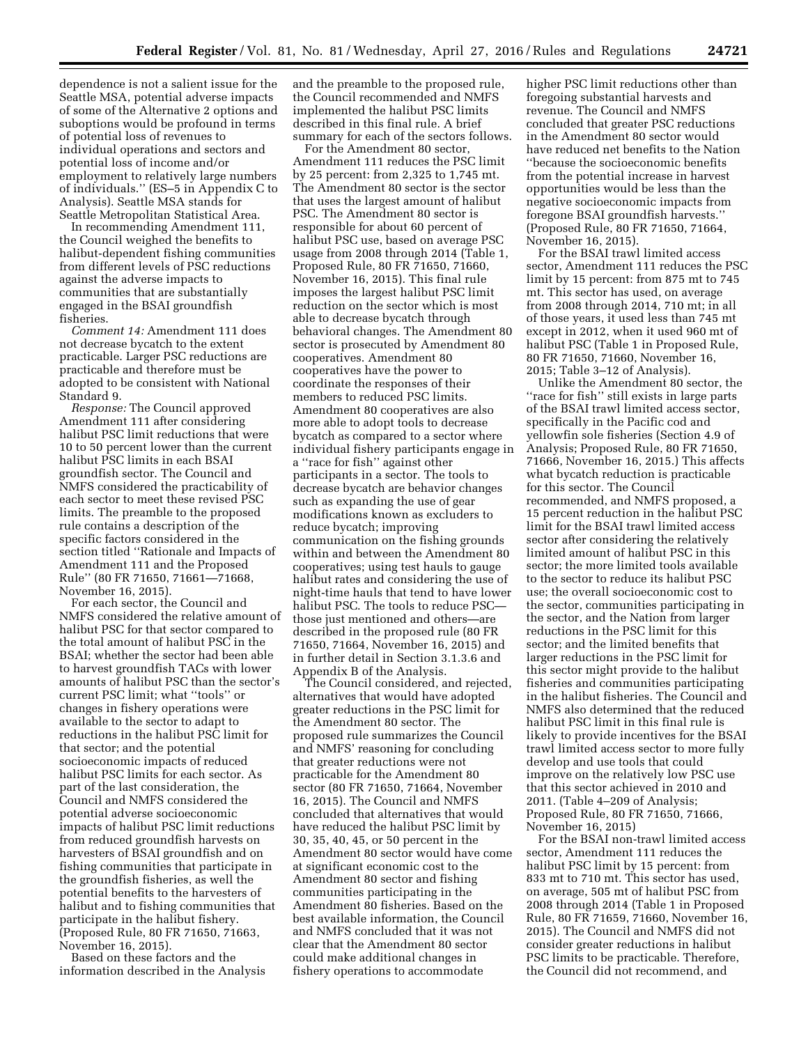dependence is not a salient issue for the Seattle MSA, potential adverse impacts of some of the Alternative 2 options and suboptions would be profound in terms of potential loss of revenues to individual operations and sectors and potential loss of income and/or employment to relatively large numbers of individuals.'' (ES–5 in Appendix C to Analysis). Seattle MSA stands for Seattle Metropolitan Statistical Area.

In recommending Amendment 111, the Council weighed the benefits to halibut-dependent fishing communities from different levels of PSC reductions against the adverse impacts to communities that are substantially engaged in the BSAI groundfish fisheries.

*Comment 14:* Amendment 111 does not decrease bycatch to the extent practicable. Larger PSC reductions are practicable and therefore must be adopted to be consistent with National Standard 9.

*Response:* The Council approved Amendment 111 after considering halibut PSC limit reductions that were 10 to 50 percent lower than the current halibut PSC limits in each BSAI groundfish sector. The Council and NMFS considered the practicability of each sector to meet these revised PSC limits. The preamble to the proposed rule contains a description of the specific factors considered in the section titled ''Rationale and Impacts of Amendment 111 and the Proposed Rule'' (80 FR 71650, 71661—71668, November 16, 2015).

For each sector, the Council and NMFS considered the relative amount of halibut PSC for that sector compared to the total amount of halibut PSC in the BSAI; whether the sector had been able to harvest groundfish TACs with lower amounts of halibut PSC than the sector's current PSC limit; what ''tools'' or changes in fishery operations were available to the sector to adapt to reductions in the halibut PSC limit for that sector; and the potential socioeconomic impacts of reduced halibut PSC limits for each sector. As part of the last consideration, the Council and NMFS considered the potential adverse socioeconomic impacts of halibut PSC limit reductions from reduced groundfish harvests on harvesters of BSAI groundfish and on fishing communities that participate in the groundfish fisheries, as well the potential benefits to the harvesters of halibut and to fishing communities that participate in the halibut fishery. (Proposed Rule, 80 FR 71650, 71663, November 16, 2015).

Based on these factors and the information described in the Analysis

and the preamble to the proposed rule, the Council recommended and NMFS implemented the halibut PSC limits described in this final rule. A brief summary for each of the sectors follows.

For the Amendment 80 sector, Amendment 111 reduces the PSC limit by 25 percent: from 2,325 to 1,745 mt. The Amendment 80 sector is the sector that uses the largest amount of halibut PSC. The Amendment 80 sector is responsible for about 60 percent of halibut PSC use, based on average PSC usage from 2008 through 2014 (Table 1, Proposed Rule, 80 FR 71650, 71660, November 16, 2015). This final rule imposes the largest halibut PSC limit reduction on the sector which is most able to decrease bycatch through behavioral changes. The Amendment 80 sector is prosecuted by Amendment 80 cooperatives. Amendment 80 cooperatives have the power to coordinate the responses of their members to reduced PSC limits. Amendment 80 cooperatives are also more able to adopt tools to decrease bycatch as compared to a sector where individual fishery participants engage in a ''race for fish'' against other participants in a sector. The tools to decrease bycatch are behavior changes such as expanding the use of gear modifications known as excluders to reduce bycatch; improving communication on the fishing grounds within and between the Amendment 80 cooperatives; using test hauls to gauge halibut rates and considering the use of night-time hauls that tend to have lower halibut PSC. The tools to reduce PSC those just mentioned and others—are described in the proposed rule (80 FR 71650, 71664, November 16, 2015) and in further detail in Section 3.1.3.6 and Appendix B of the Analysis.

The Council considered, and rejected, alternatives that would have adopted greater reductions in the PSC limit for the Amendment 80 sector. The proposed rule summarizes the Council and NMFS' reasoning for concluding that greater reductions were not practicable for the Amendment 80 sector (80 FR 71650, 71664, November 16, 2015). The Council and NMFS concluded that alternatives that would have reduced the halibut PSC limit by 30, 35, 40, 45, or 50 percent in the Amendment 80 sector would have come at significant economic cost to the Amendment 80 sector and fishing communities participating in the Amendment 80 fisheries. Based on the best available information, the Council and NMFS concluded that it was not clear that the Amendment 80 sector could make additional changes in fishery operations to accommodate

higher PSC limit reductions other than foregoing substantial harvests and revenue. The Council and NMFS concluded that greater PSC reductions in the Amendment 80 sector would have reduced net benefits to the Nation ''because the socioeconomic benefits from the potential increase in harvest opportunities would be less than the negative socioeconomic impacts from foregone BSAI groundfish harvests.'' (Proposed Rule, 80 FR 71650, 71664, November 16, 2015).

For the BSAI trawl limited access sector, Amendment 111 reduces the PSC limit by 15 percent: from 875 mt to 745 mt. This sector has used, on average from 2008 through 2014, 710 mt; in all of those years, it used less than 745 mt except in 2012, when it used 960 mt of halibut PSC (Table 1 in Proposed Rule, 80 FR 71650, 71660, November 16, 2015; Table 3–12 of Analysis).

Unlike the Amendment 80 sector, the ''race for fish'' still exists in large parts of the BSAI trawl limited access sector, specifically in the Pacific cod and yellowfin sole fisheries (Section 4.9 of Analysis; Proposed Rule, 80 FR 71650, 71666, November 16, 2015.) This affects what bycatch reduction is practicable for this sector. The Council recommended, and NMFS proposed, a 15 percent reduction in the halibut PSC limit for the BSAI trawl limited access sector after considering the relatively limited amount of halibut PSC in this sector; the more limited tools available to the sector to reduce its halibut PSC use; the overall socioeconomic cost to the sector, communities participating in the sector, and the Nation from larger reductions in the PSC limit for this sector; and the limited benefits that larger reductions in the PSC limit for this sector might provide to the halibut fisheries and communities participating in the halibut fisheries. The Council and NMFS also determined that the reduced halibut PSC limit in this final rule is likely to provide incentives for the BSAI trawl limited access sector to more fully develop and use tools that could improve on the relatively low PSC use that this sector achieved in 2010 and 2011. (Table 4–209 of Analysis; Proposed Rule, 80 FR 71650, 71666, November 16, 2015)

For the BSAI non-trawl limited access sector, Amendment 111 reduces the halibut PSC limit by 15 percent: from 833 mt to 710 mt. This sector has used, on average, 505 mt of halibut PSC from 2008 through 2014 (Table 1 in Proposed Rule, 80 FR 71659, 71660, November 16, 2015). The Council and NMFS did not consider greater reductions in halibut PSC limits to be practicable. Therefore, the Council did not recommend, and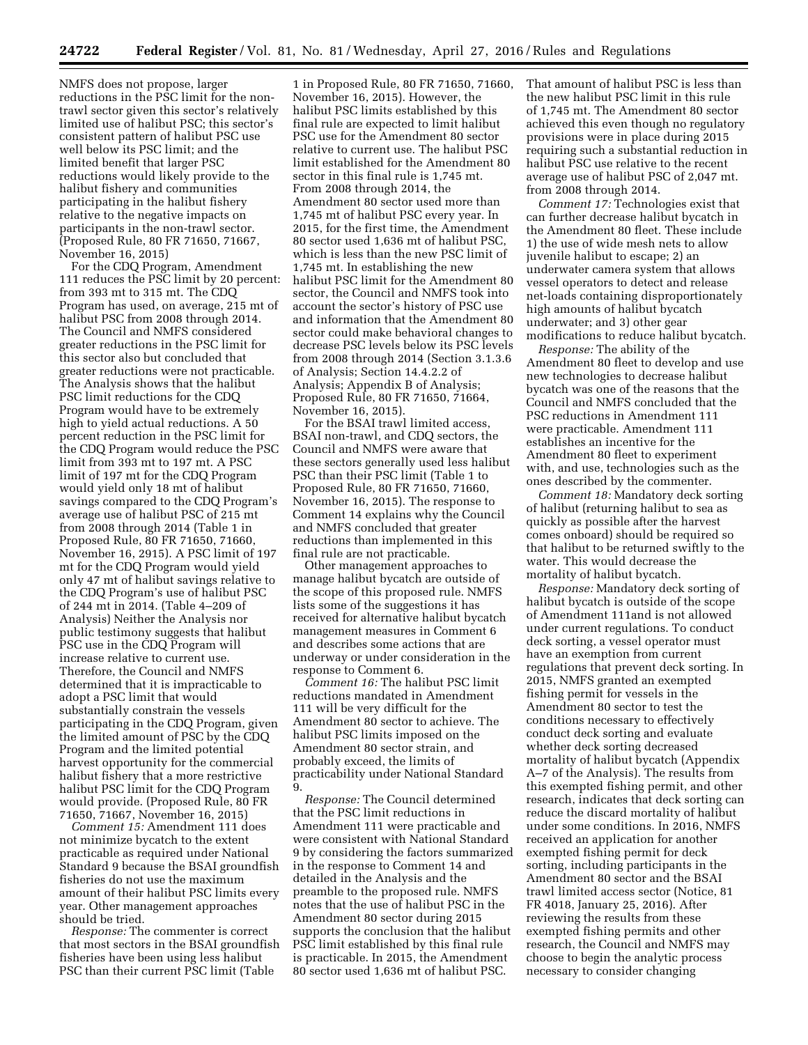NMFS does not propose, larger reductions in the PSC limit for the nontrawl sector given this sector's relatively limited use of halibut PSC; this sector's consistent pattern of halibut PSC use well below its PSC limit; and the limited benefit that larger PSC reductions would likely provide to the halibut fishery and communities participating in the halibut fishery relative to the negative impacts on participants in the non-trawl sector. (Proposed Rule, 80 FR 71650, 71667, November 16, 2015)

For the CDQ Program, Amendment 111 reduces the PSC limit by 20 percent: from 393 mt to 315 mt. The CDQ Program has used, on average, 215 mt of halibut PSC from 2008 through 2014. The Council and NMFS considered greater reductions in the PSC limit for this sector also but concluded that greater reductions were not practicable. The Analysis shows that the halibut PSC limit reductions for the CDQ Program would have to be extremely high to yield actual reductions. A 50 percent reduction in the PSC limit for the CDQ Program would reduce the PSC limit from 393 mt to 197 mt. A PSC limit of 197 mt for the CDQ Program would yield only 18 mt of halibut savings compared to the CDQ Program's average use of halibut PSC of 215 mt from 2008 through 2014 (Table 1 in Proposed Rule, 80 FR 71650, 71660, November 16, 2915). A PSC limit of 197 mt for the CDQ Program would yield only 47 mt of halibut savings relative to the CDQ Program's use of halibut PSC of 244 mt in 2014. (Table 4–209 of Analysis) Neither the Analysis nor public testimony suggests that halibut PSC use in the CDQ Program will increase relative to current use. Therefore, the Council and NMFS determined that it is impracticable to adopt a PSC limit that would substantially constrain the vessels participating in the CDQ Program, given the limited amount of PSC by the CDQ Program and the limited potential harvest opportunity for the commercial halibut fishery that a more restrictive halibut PSC limit for the CDQ Program would provide. (Proposed Rule, 80 FR 71650, 71667, November 16, 2015)

*Comment 15:* Amendment 111 does not minimize bycatch to the extent practicable as required under National Standard 9 because the BSAI groundfish fisheries do not use the maximum amount of their halibut PSC limits every year. Other management approaches should be tried.

*Response:* The commenter is correct that most sectors in the BSAI groundfish fisheries have been using less halibut PSC than their current PSC limit (Table

1 in Proposed Rule, 80 FR 71650, 71660, November 16, 2015). However, the halibut PSC limits established by this final rule are expected to limit halibut PSC use for the Amendment 80 sector relative to current use. The halibut PSC limit established for the Amendment 80 sector in this final rule is 1,745 mt. From 2008 through 2014, the Amendment 80 sector used more than 1,745 mt of halibut PSC every year. In 2015, for the first time, the Amendment 80 sector used 1,636 mt of halibut PSC, which is less than the new PSC limit of 1,745 mt. In establishing the new halibut PSC limit for the Amendment 80 sector, the Council and NMFS took into account the sector's history of PSC use and information that the Amendment 80 sector could make behavioral changes to decrease PSC levels below its PSC levels from 2008 through 2014 (Section 3.1.3.6 of Analysis; Section 14.4.2.2 of Analysis; Appendix B of Analysis; Proposed Rule, 80 FR 71650, 71664, November 16, 2015).

For the BSAI trawl limited access, BSAI non-trawl, and CDQ sectors, the Council and NMFS were aware that these sectors generally used less halibut PSC than their PSC limit (Table 1 to Proposed Rule, 80 FR 71650, 71660, November 16, 2015). The response to Comment 14 explains why the Council and NMFS concluded that greater reductions than implemented in this final rule are not practicable.

Other management approaches to manage halibut bycatch are outside of the scope of this proposed rule. NMFS lists some of the suggestions it has received for alternative halibut bycatch management measures in Comment 6 and describes some actions that are underway or under consideration in the response to Comment 6.

*Comment 16:* The halibut PSC limit reductions mandated in Amendment 111 will be very difficult for the Amendment 80 sector to achieve. The halibut PSC limits imposed on the Amendment 80 sector strain, and probably exceed, the limits of practicability under National Standard 9.

*Response:* The Council determined that the PSC limit reductions in Amendment 111 were practicable and were consistent with National Standard 9 by considering the factors summarized in the response to Comment 14 and detailed in the Analysis and the preamble to the proposed rule. NMFS notes that the use of halibut PSC in the Amendment 80 sector during 2015 supports the conclusion that the halibut PSC limit established by this final rule is practicable. In 2015, the Amendment 80 sector used 1,636 mt of halibut PSC.

That amount of halibut PSC is less than the new halibut PSC limit in this rule of 1,745 mt. The Amendment 80 sector achieved this even though no regulatory provisions were in place during 2015 requiring such a substantial reduction in halibut PSC use relative to the recent average use of halibut PSC of 2,047 mt. from 2008 through 2014.

*Comment 17:* Technologies exist that can further decrease halibut bycatch in the Amendment 80 fleet. These include 1) the use of wide mesh nets to allow juvenile halibut to escape; 2) an underwater camera system that allows vessel operators to detect and release net-loads containing disproportionately high amounts of halibut bycatch underwater; and 3) other gear modifications to reduce halibut bycatch.

*Response:* The ability of the Amendment 80 fleet to develop and use new technologies to decrease halibut bycatch was one of the reasons that the Council and NMFS concluded that the PSC reductions in Amendment 111 were practicable. Amendment 111 establishes an incentive for the Amendment 80 fleet to experiment with, and use, technologies such as the ones described by the commenter.

*Comment 18:* Mandatory deck sorting of halibut (returning halibut to sea as quickly as possible after the harvest comes onboard) should be required so that halibut to be returned swiftly to the water. This would decrease the mortality of halibut bycatch.

*Response:* Mandatory deck sorting of halibut bycatch is outside of the scope of Amendment 111and is not allowed under current regulations. To conduct deck sorting, a vessel operator must have an exemption from current regulations that prevent deck sorting. In 2015, NMFS granted an exempted fishing permit for vessels in the Amendment 80 sector to test the conditions necessary to effectively conduct deck sorting and evaluate whether deck sorting decreased mortality of halibut bycatch (Appendix A–7 of the Analysis). The results from this exempted fishing permit, and other research, indicates that deck sorting can reduce the discard mortality of halibut under some conditions. In 2016, NMFS received an application for another exempted fishing permit for deck sorting, including participants in the Amendment 80 sector and the BSAI trawl limited access sector (Notice, 81 FR 4018, January 25, 2016). After reviewing the results from these exempted fishing permits and other research, the Council and NMFS may choose to begin the analytic process necessary to consider changing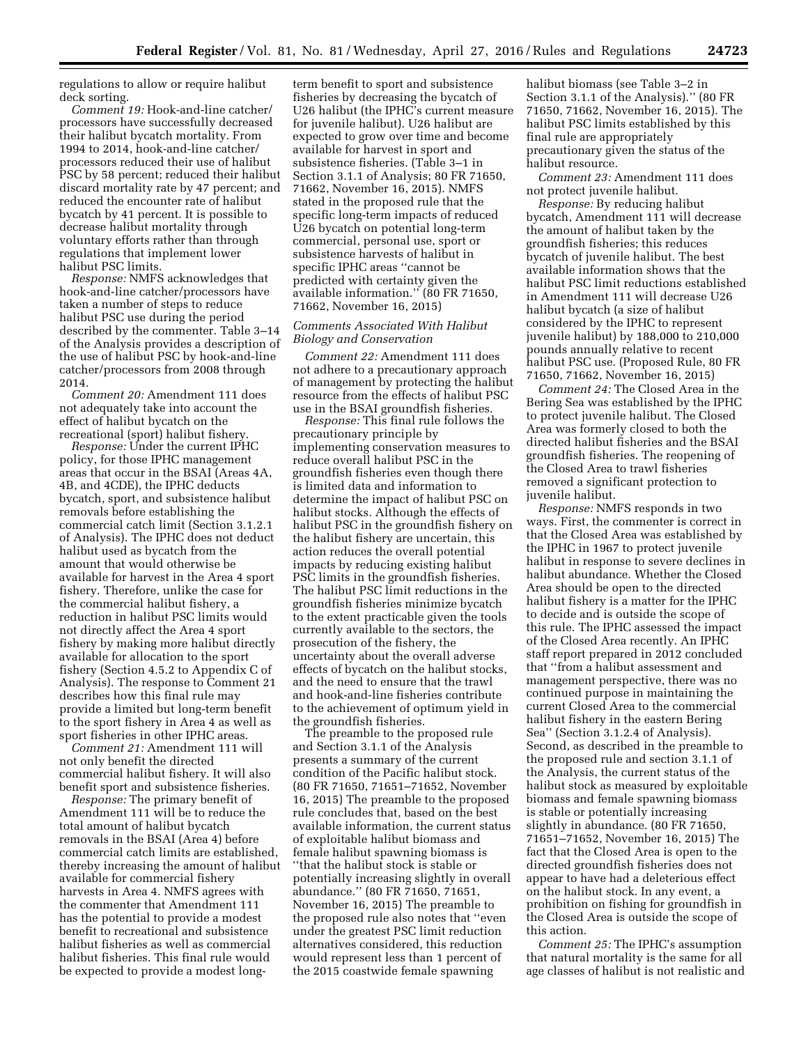regulations to allow or require halibut deck sorting.

*Comment 19:* Hook-and-line catcher/ processors have successfully decreased their halibut bycatch mortality. From 1994 to 2014, hook-and-line catcher/ processors reduced their use of halibut PSC by 58 percent; reduced their halibut discard mortality rate by 47 percent; and reduced the encounter rate of halibut bycatch by 41 percent. It is possible to decrease halibut mortality through voluntary efforts rather than through regulations that implement lower halibut PSC limits.

*Response:* NMFS acknowledges that hook-and-line catcher/processors have taken a number of steps to reduce halibut PSC use during the period described by the commenter. Table 3–14 of the Analysis provides a description of the use of halibut PSC by hook-and-line catcher/processors from 2008 through 2014.

*Comment 20:* Amendment 111 does not adequately take into account the effect of halibut bycatch on the recreational (sport) halibut fishery.

*Response:* Under the current IPHC policy, for those IPHC management areas that occur in the BSAI (Areas 4A, 4B, and 4CDE), the IPHC deducts bycatch, sport, and subsistence halibut removals before establishing the commercial catch limit (Section 3.1.2.1 of Analysis). The IPHC does not deduct halibut used as bycatch from the amount that would otherwise be available for harvest in the Area 4 sport fishery. Therefore, unlike the case for the commercial halibut fishery, a reduction in halibut PSC limits would not directly affect the Area 4 sport fishery by making more halibut directly available for allocation to the sport fishery (Section 4.5.2 to Appendix C of Analysis). The response to Comment 21 describes how this final rule may provide a limited but long-term benefit to the sport fishery in Area 4 as well as sport fisheries in other IPHC areas.

*Comment 21:* Amendment 111 will not only benefit the directed commercial halibut fishery. It will also benefit sport and subsistence fisheries.

*Response:* The primary benefit of Amendment 111 will be to reduce the total amount of halibut bycatch removals in the BSAI (Area 4) before commercial catch limits are established, thereby increasing the amount of halibut available for commercial fishery harvests in Area 4. NMFS agrees with the commenter that Amendment 111 has the potential to provide a modest benefit to recreational and subsistence halibut fisheries as well as commercial halibut fisheries. This final rule would be expected to provide a modest longterm benefit to sport and subsistence fisheries by decreasing the bycatch of U26 halibut (the IPHC's current measure for juvenile halibut). U26 halibut are expected to grow over time and become available for harvest in sport and subsistence fisheries. (Table 3–1 in Section 3.1.1 of Analysis; 80 FR 71650, 71662, November 16, 2015). NMFS stated in the proposed rule that the specific long-term impacts of reduced U26 bycatch on potential long-term commercial, personal use, sport or subsistence harvests of halibut in specific IPHC areas ''cannot be predicted with certainty given the available information.'' (80 FR 71650, 71662, November 16, 2015)

# *Comments Associated With Halibut Biology and Conservation*

*Comment 22:* Amendment 111 does not adhere to a precautionary approach of management by protecting the halibut resource from the effects of halibut PSC use in the BSAI groundfish fisheries.

*Response:* This final rule follows the precautionary principle by implementing conservation measures to reduce overall halibut PSC in the groundfish fisheries even though there is limited data and information to determine the impact of halibut PSC on halibut stocks. Although the effects of halibut PSC in the groundfish fishery on the halibut fishery are uncertain, this action reduces the overall potential impacts by reducing existing halibut PSC limits in the groundfish fisheries. The halibut PSC limit reductions in the groundfish fisheries minimize bycatch to the extent practicable given the tools currently available to the sectors, the prosecution of the fishery, the uncertainty about the overall adverse effects of bycatch on the halibut stocks, and the need to ensure that the trawl and hook-and-line fisheries contribute to the achievement of optimum yield in the groundfish fisheries.

The preamble to the proposed rule and Section 3.1.1 of the Analysis presents a summary of the current condition of the Pacific halibut stock. (80 FR 71650, 71651–71652, November 16, 2015) The preamble to the proposed rule concludes that, based on the best available information, the current status of exploitable halibut biomass and female halibut spawning biomass is ''that the halibut stock is stable or potentially increasing slightly in overall abundance.'' (80 FR 71650, 71651, November 16, 2015) The preamble to the proposed rule also notes that ''even under the greatest PSC limit reduction alternatives considered, this reduction would represent less than 1 percent of the 2015 coastwide female spawning

halibut biomass (see Table 3–2 in Section 3.1.1 of the Analysis).'' (80 FR 71650, 71662, November 16, 2015). The halibut PSC limits established by this final rule are appropriately precautionary given the status of the halibut resource.

*Comment 23:* Amendment 111 does not protect juvenile halibut.

*Response:* By reducing halibut bycatch, Amendment 111 will decrease the amount of halibut taken by the groundfish fisheries; this reduces bycatch of juvenile halibut. The best available information shows that the halibut PSC limit reductions established in Amendment 111 will decrease U26 halibut bycatch (a size of halibut considered by the IPHC to represent juvenile halibut) by 188,000 to 210,000 pounds annually relative to recent halibut PSC use. (Proposed Rule, 80 FR 71650, 71662, November 16, 2015)

*Comment 24:* The Closed Area in the Bering Sea was established by the IPHC to protect juvenile halibut. The Closed Area was formerly closed to both the directed halibut fisheries and the BSAI groundfish fisheries. The reopening of the Closed Area to trawl fisheries removed a significant protection to juvenile halibut.

*Response:* NMFS responds in two ways. First, the commenter is correct in that the Closed Area was established by the IPHC in 1967 to protect juvenile halibut in response to severe declines in halibut abundance. Whether the Closed Area should be open to the directed halibut fishery is a matter for the IPHC to decide and is outside the scope of this rule. The IPHC assessed the impact of the Closed Area recently. An IPHC staff report prepared in 2012 concluded that ''from a halibut assessment and management perspective, there was no continued purpose in maintaining the current Closed Area to the commercial halibut fishery in the eastern Bering Sea'' (Section 3.1.2.4 of Analysis). Second, as described in the preamble to the proposed rule and section 3.1.1 of the Analysis, the current status of the halibut stock as measured by exploitable biomass and female spawning biomass is stable or potentially increasing slightly in abundance. (80 FR 71650, 71651–71652, November 16, 2015) The fact that the Closed Area is open to the directed groundfish fisheries does not appear to have had a deleterious effect on the halibut stock. In any event, a prohibition on fishing for groundfish in the Closed Area is outside the scope of this action.

*Comment 25:* The IPHC's assumption that natural mortality is the same for all age classes of halibut is not realistic and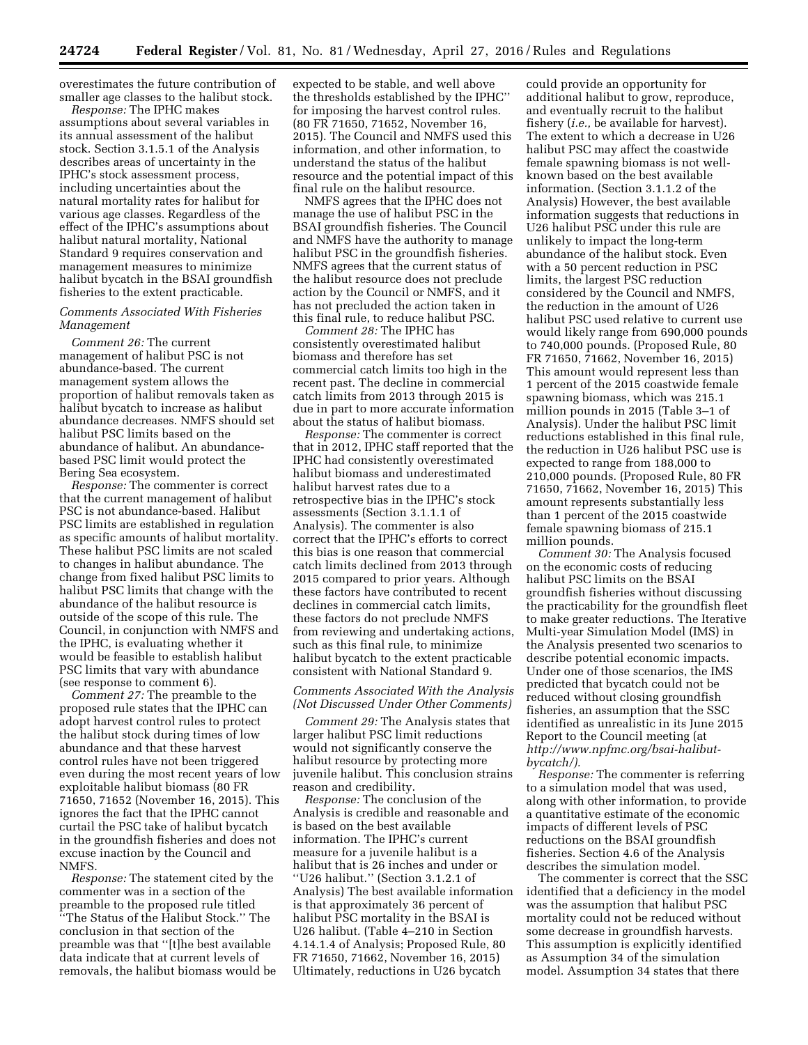overestimates the future contribution of smaller age classes to the halibut stock.

*Response:* The IPHC makes assumptions about several variables in its annual assessment of the halibut stock. Section 3.1.5.1 of the Analysis describes areas of uncertainty in the IPHC's stock assessment process, including uncertainties about the natural mortality rates for halibut for various age classes. Regardless of the effect of the IPHC's assumptions about halibut natural mortality, National Standard 9 requires conservation and management measures to minimize halibut bycatch in the BSAI groundfish fisheries to the extent practicable.

## *Comments Associated With Fisheries Management*

*Comment 26:* The current management of halibut PSC is not abundance-based. The current management system allows the proportion of halibut removals taken as halibut bycatch to increase as halibut abundance decreases. NMFS should set halibut PSC limits based on the abundance of halibut. An abundancebased PSC limit would protect the Bering Sea ecosystem.

*Response:* The commenter is correct that the current management of halibut PSC is not abundance-based. Halibut PSC limits are established in regulation as specific amounts of halibut mortality. These halibut PSC limits are not scaled to changes in halibut abundance. The change from fixed halibut PSC limits to halibut PSC limits that change with the abundance of the halibut resource is outside of the scope of this rule. The Council, in conjunction with NMFS and the IPHC, is evaluating whether it would be feasible to establish halibut PSC limits that vary with abundance (see response to comment 6).

*Comment 27:* The preamble to the proposed rule states that the IPHC can adopt harvest control rules to protect the halibut stock during times of low abundance and that these harvest control rules have not been triggered even during the most recent years of low exploitable halibut biomass (80 FR 71650, 71652 (November 16, 2015). This ignores the fact that the IPHC cannot curtail the PSC take of halibut bycatch in the groundfish fisheries and does not excuse inaction by the Council and NMFS.

*Response:* The statement cited by the commenter was in a section of the preamble to the proposed rule titled ''The Status of the Halibut Stock.'' The conclusion in that section of the preamble was that ''[t]he best available data indicate that at current levels of removals, the halibut biomass would be expected to be stable, and well above the thresholds established by the IPHC'' for imposing the harvest control rules. (80 FR 71650, 71652, November 16, 2015). The Council and NMFS used this information, and other information, to understand the status of the halibut resource and the potential impact of this final rule on the halibut resource.

NMFS agrees that the IPHC does not manage the use of halibut PSC in the BSAI groundfish fisheries. The Council and NMFS have the authority to manage halibut PSC in the groundfish fisheries. NMFS agrees that the current status of the halibut resource does not preclude action by the Council or NMFS, and it has not precluded the action taken in this final rule, to reduce halibut PSC.

*Comment 28:* The IPHC has consistently overestimated halibut biomass and therefore has set commercial catch limits too high in the recent past. The decline in commercial catch limits from 2013 through 2015 is due in part to more accurate information about the status of halibut biomass.

*Response:* The commenter is correct that in 2012, IPHC staff reported that the IPHC had consistently overestimated halibut biomass and underestimated halibut harvest rates due to a retrospective bias in the IPHC's stock assessments (Section 3.1.1.1 of Analysis). The commenter is also correct that the IPHC's efforts to correct this bias is one reason that commercial catch limits declined from 2013 through 2015 compared to prior years. Although these factors have contributed to recent declines in commercial catch limits, these factors do not preclude NMFS from reviewing and undertaking actions, such as this final rule, to minimize halibut bycatch to the extent practicable consistent with National Standard 9.

# *Comments Associated With the Analysis (Not Discussed Under Other Comments)*

*Comment 29:* The Analysis states that larger halibut PSC limit reductions would not significantly conserve the halibut resource by protecting more juvenile halibut. This conclusion strains reason and credibility.

*Response:* The conclusion of the Analysis is credible and reasonable and is based on the best available information. The IPHC's current measure for a juvenile halibut is a halibut that is 26 inches and under or ''U26 halibut.'' (Section 3.1.2.1 of Analysis) The best available information is that approximately 36 percent of halibut PSC mortality in the BSAI is U26 halibut. (Table 4–210 in Section 4.14.1.4 of Analysis; Proposed Rule, 80 FR 71650, 71662, November 16, 2015) Ultimately, reductions in U26 bycatch

could provide an opportunity for additional halibut to grow, reproduce, and eventually recruit to the halibut fishery (*i.e.,* be available for harvest). The extent to which a decrease in U26 halibut PSC may affect the coastwide female spawning biomass is not wellknown based on the best available information. (Section 3.1.1.2 of the Analysis) However, the best available information suggests that reductions in U26 halibut PSC under this rule are unlikely to impact the long-term abundance of the halibut stock. Even with a 50 percent reduction in PSC limits, the largest PSC reduction considered by the Council and NMFS, the reduction in the amount of U26 halibut PSC used relative to current use would likely range from 690,000 pounds to 740,000 pounds. (Proposed Rule, 80 FR 71650, 71662, November 16, 2015) This amount would represent less than 1 percent of the 2015 coastwide female spawning biomass, which was 215.1 million pounds in 2015 (Table 3–1 of Analysis). Under the halibut PSC limit reductions established in this final rule, the reduction in U26 halibut PSC use is expected to range from 188,000 to 210,000 pounds. (Proposed Rule, 80 FR 71650, 71662, November 16, 2015) This amount represents substantially less than 1 percent of the 2015 coastwide female spawning biomass of 215.1 million pounds.

*Comment 30:* The Analysis focused on the economic costs of reducing halibut PSC limits on the BSAI groundfish fisheries without discussing the practicability for the groundfish fleet to make greater reductions. The Iterative Multi-year Simulation Model (IMS) in the Analysis presented two scenarios to describe potential economic impacts. Under one of those scenarios, the IMS predicted that bycatch could not be reduced without closing groundfish fisheries, an assumption that the SSC identified as unrealistic in its June 2015 Report to the Council meeting (at *[http://www.npfmc.org/bsai-halibut](http://www.npfmc.org/bsai-halibut-bycatch/)[bycatch/\).](http://www.npfmc.org/bsai-halibut-bycatch/)* 

*Response:* The commenter is referring to a simulation model that was used, along with other information, to provide a quantitative estimate of the economic impacts of different levels of PSC reductions on the BSAI groundfish fisheries. Section 4.6 of the Analysis describes the simulation model.

The commenter is correct that the SSC identified that a deficiency in the model was the assumption that halibut PSC mortality could not be reduced without some decrease in groundfish harvests. This assumption is explicitly identified as Assumption 34 of the simulation model. Assumption 34 states that there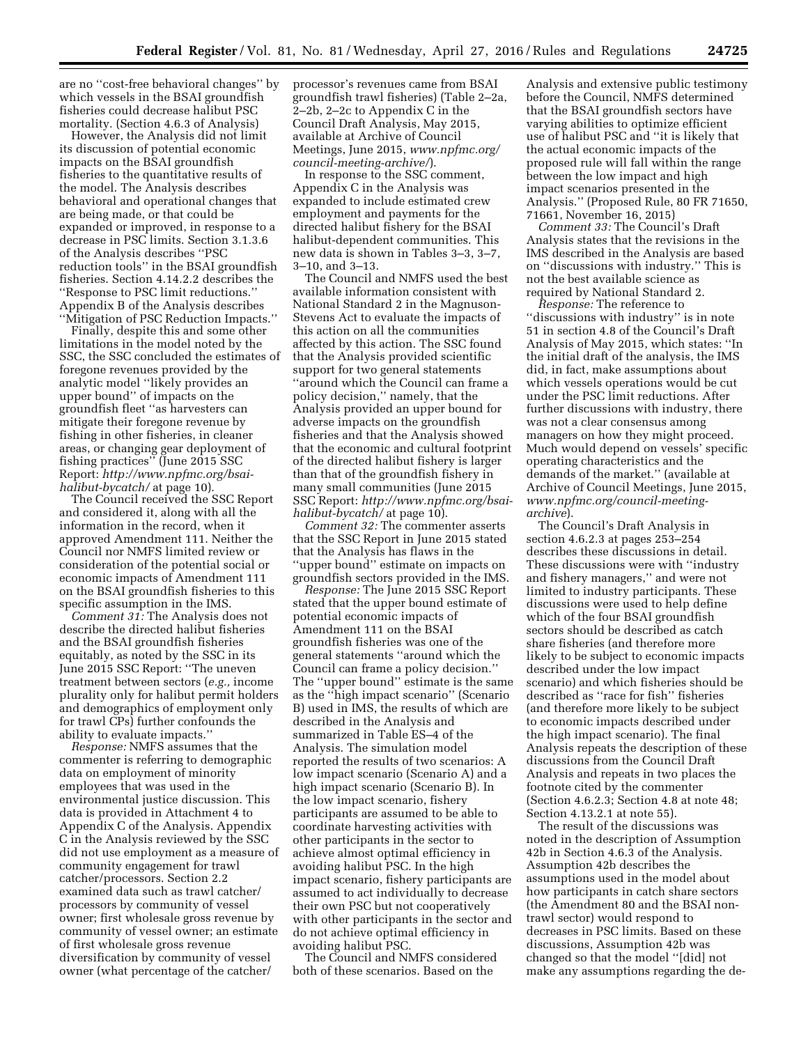are no ''cost-free behavioral changes'' by which vessels in the BSAI groundfish fisheries could decrease halibut PSC mortality. (Section 4.6.3 of Analysis)

However, the Analysis did not limit its discussion of potential economic impacts on the BSAI groundfish fisheries to the quantitative results of the model. The Analysis describes behavioral and operational changes that are being made, or that could be expanded or improved, in response to a decrease in PSC limits. Section 3.1.3.6 of the Analysis describes ''PSC reduction tools'' in the BSAI groundfish fisheries. Section 4.14.2.2 describes the ''Response to PSC limit reductions.'' Appendix B of the Analysis describes ''Mitigation of PSC Reduction Impacts.''

Finally, despite this and some other limitations in the model noted by the SSC, the SSC concluded the estimates of foregone revenues provided by the analytic model ''likely provides an upper bound'' of impacts on the groundfish fleet ''as harvesters can mitigate their foregone revenue by fishing in other fisheries, in cleaner areas, or changing gear deployment of fishing practices'' (June 2015 SSC Report: *[http://www.npfmc.org/bsai](http://www.npfmc.org/bsai-halibut-bycatch/)[halibut-bycatch/](http://www.npfmc.org/bsai-halibut-bycatch/)* at page 10).

The Council received the SSC Report and considered it, along with all the information in the record, when it approved Amendment 111. Neither the Council nor NMFS limited review or consideration of the potential social or economic impacts of Amendment 111 on the BSAI groundfish fisheries to this specific assumption in the IMS.

*Comment 31:* The Analysis does not describe the directed halibut fisheries and the BSAI groundfish fisheries equitably, as noted by the SSC in its June 2015 SSC Report: ''The uneven treatment between sectors (*e.g.,* income plurality only for halibut permit holders and demographics of employment only for trawl CPs) further confounds the ability to evaluate impacts.''

*Response:* NMFS assumes that the commenter is referring to demographic data on employment of minority employees that was used in the environmental justice discussion. This data is provided in Attachment 4 to Appendix C of the Analysis. Appendix C in the Analysis reviewed by the SSC did not use employment as a measure of community engagement for trawl catcher/processors. Section 2.2 examined data such as trawl catcher/ processors by community of vessel owner; first wholesale gross revenue by community of vessel owner; an estimate of first wholesale gross revenue diversification by community of vessel owner (what percentage of the catcher/

processor's revenues came from BSAI groundfish trawl fisheries) (Table 2–2a, 2–2b, 2–2c to Appendix C in the Council Draft Analysis, May 2015, available at Archive of Council Meetings, June 2015, *[www.npfmc.org/](http://www.npfmc.org/council-meeting-archive/) [council-meeting-archive/](http://www.npfmc.org/council-meeting-archive/)*).

In response to the SSC comment, Appendix C in the Analysis was expanded to include estimated crew employment and payments for the directed halibut fishery for the BSAI halibut-dependent communities. This new data is shown in Tables 3–3, 3–7, 3–10, and 3–13.

The Council and NMFS used the best available information consistent with National Standard 2 in the Magnuson-Stevens Act to evaluate the impacts of this action on all the communities affected by this action. The SSC found that the Analysis provided scientific support for two general statements ''around which the Council can frame a policy decision,'' namely, that the Analysis provided an upper bound for adverse impacts on the groundfish fisheries and that the Analysis showed that the economic and cultural footprint of the directed halibut fishery is larger than that of the groundfish fishery in many small communities (June 2015 SSC Report: *[http://www.npfmc.org/bsai](http://www.npfmc.org/bsai-halibut-bycatch/)[halibut-bycatch/](http://www.npfmc.org/bsai-halibut-bycatch/)* at page 10).

*Comment 32:* The commenter asserts that the SSC Report in June 2015 stated that the Analysis has flaws in the ''upper bound'' estimate on impacts on groundfish sectors provided in the IMS.

*Response:* The June 2015 SSC Report stated that the upper bound estimate of potential economic impacts of Amendment 111 on the BSAI groundfish fisheries was one of the general statements ''around which the Council can frame a policy decision.'' The ''upper bound'' estimate is the same as the ''high impact scenario'' (Scenario B) used in IMS, the results of which are described in the Analysis and summarized in Table ES–4 of the Analysis. The simulation model reported the results of two scenarios: A low impact scenario (Scenario A) and a high impact scenario (Scenario B). In the low impact scenario, fishery participants are assumed to be able to coordinate harvesting activities with other participants in the sector to achieve almost optimal efficiency in avoiding halibut PSC. In the high impact scenario, fishery participants are assumed to act individually to decrease their own PSC but not cooperatively with other participants in the sector and do not achieve optimal efficiency in avoiding halibut PSC.

The Council and NMFS considered both of these scenarios. Based on the

Analysis and extensive public testimony before the Council, NMFS determined that the BSAI groundfish sectors have varying abilities to optimize efficient use of halibut PSC and ''it is likely that the actual economic impacts of the proposed rule will fall within the range between the low impact and high impact scenarios presented in the Analysis.'' (Proposed Rule, 80 FR 71650, 71661, November 16, 2015)

*Comment 33:* The Council's Draft Analysis states that the revisions in the IMS described in the Analysis are based on ''discussions with industry.'' This is not the best available science as required by National Standard 2.

*Response:* The reference to ''discussions with industry'' is in note 51 in section 4.8 of the Council's Draft Analysis of May 2015, which states: ''In the initial draft of the analysis, the IMS did, in fact, make assumptions about which vessels operations would be cut under the PSC limit reductions. After further discussions with industry, there was not a clear consensus among managers on how they might proceed. Much would depend on vessels' specific operating characteristics and the demands of the market.'' (available at Archive of Council Meetings, June 2015, *[www.npfmc.org/council-meeting](http://www.npfmc.org/council-meeting-archive)[archive](http://www.npfmc.org/council-meeting-archive)*).

The Council's Draft Analysis in section 4.6.2.3 at pages 253–254 describes these discussions in detail. These discussions were with ''industry and fishery managers,'' and were not limited to industry participants. These discussions were used to help define which of the four BSAI groundfish sectors should be described as catch share fisheries (and therefore more likely to be subject to economic impacts described under the low impact scenario) and which fisheries should be described as ''race for fish'' fisheries (and therefore more likely to be subject to economic impacts described under the high impact scenario). The final Analysis repeats the description of these discussions from the Council Draft Analysis and repeats in two places the footnote cited by the commenter (Section 4.6.2.3; Section 4.8 at note 48; Section 4.13.2.1 at note 55).

The result of the discussions was noted in the description of Assumption 42b in Section 4.6.3 of the Analysis. Assumption 42b describes the assumptions used in the model about how participants in catch share sectors (the Amendment 80 and the BSAI nontrawl sector) would respond to decreases in PSC limits. Based on these discussions, Assumption 42b was changed so that the model ''[did] not make any assumptions regarding the de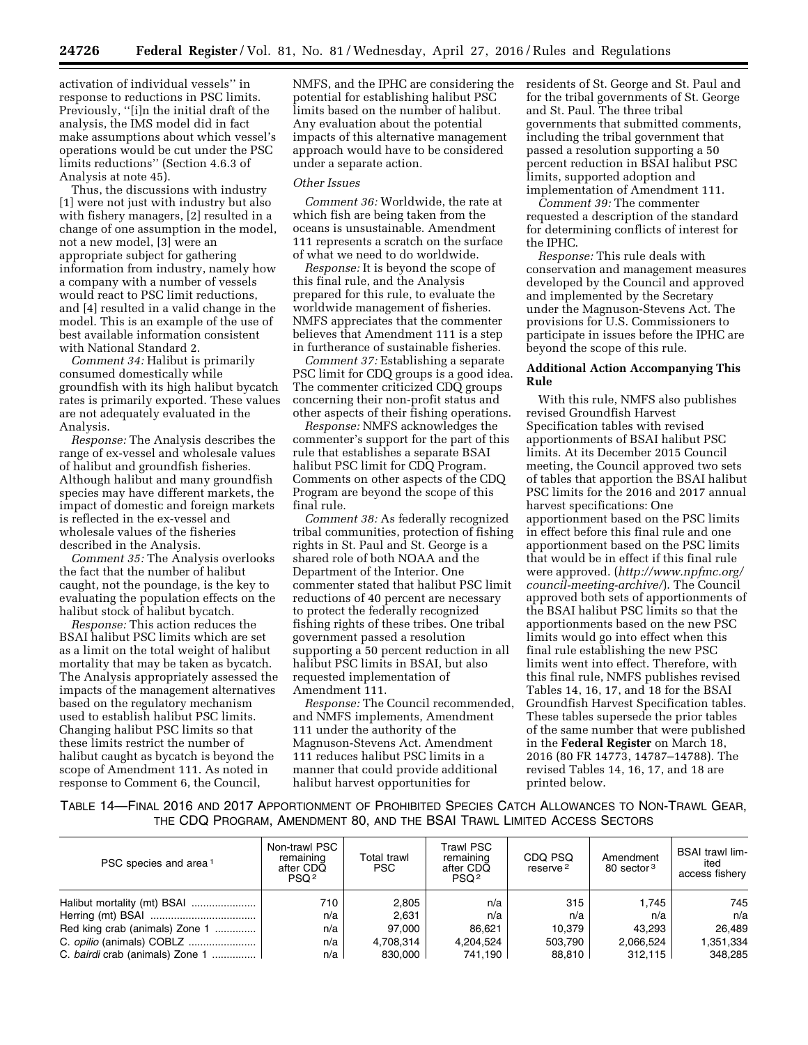activation of individual vessels'' in response to reductions in PSC limits. Previously, ''[i]n the initial draft of the analysis, the IMS model did in fact make assumptions about which vessel's operations would be cut under the PSC limits reductions'' (Section 4.6.3 of Analysis at note 45).

Thus, the discussions with industry [1] were not just with industry but also with fishery managers, [2] resulted in a change of one assumption in the model, not a new model, [3] were an appropriate subject for gathering information from industry, namely how a company with a number of vessels would react to PSC limit reductions, and [4] resulted in a valid change in the model. This is an example of the use of best available information consistent with National Standard 2.

*Comment 34:* Halibut is primarily consumed domestically while groundfish with its high halibut bycatch rates is primarily exported. These values are not adequately evaluated in the Analysis.

*Response:* The Analysis describes the range of ex-vessel and wholesale values of halibut and groundfish fisheries. Although halibut and many groundfish species may have different markets, the impact of domestic and foreign markets is reflected in the ex-vessel and wholesale values of the fisheries described in the Analysis.

*Comment 35:* The Analysis overlooks the fact that the number of halibut caught, not the poundage, is the key to evaluating the population effects on the halibut stock of halibut bycatch.

*Response:* This action reduces the BSAI halibut PSC limits which are set as a limit on the total weight of halibut mortality that may be taken as bycatch. The Analysis appropriately assessed the impacts of the management alternatives based on the regulatory mechanism used to establish halibut PSC limits. Changing halibut PSC limits so that these limits restrict the number of halibut caught as bycatch is beyond the scope of Amendment 111. As noted in response to Comment 6, the Council,

NMFS, and the IPHC are considering the potential for establishing halibut PSC limits based on the number of halibut. Any evaluation about the potential impacts of this alternative management approach would have to be considered under a separate action.

### *Other Issues*

*Comment 36:* Worldwide, the rate at which fish are being taken from the oceans is unsustainable. Amendment 111 represents a scratch on the surface of what we need to do worldwide.

*Response:* It is beyond the scope of this final rule, and the Analysis prepared for this rule, to evaluate the worldwide management of fisheries. NMFS appreciates that the commenter believes that Amendment 111 is a step in furtherance of sustainable fisheries.

*Comment 37:* Establishing a separate PSC limit for CDQ groups is a good idea. The commenter criticized CDQ groups concerning their non-profit status and other aspects of their fishing operations.

*Response:* NMFS acknowledges the commenter's support for the part of this rule that establishes a separate BSAI halibut PSC limit for CDQ Program. Comments on other aspects of the CDQ Program are beyond the scope of this final rule.

*Comment 38:* As federally recognized tribal communities, protection of fishing rights in St. Paul and St. George is a shared role of both NOAA and the Department of the Interior. One commenter stated that halibut PSC limit reductions of 40 percent are necessary to protect the federally recognized fishing rights of these tribes. One tribal government passed a resolution supporting a 50 percent reduction in all halibut PSC limits in BSAI, but also requested implementation of Amendment 111.

*Response:* The Council recommended, and NMFS implements, Amendment 111 under the authority of the Magnuson-Stevens Act. Amendment 111 reduces halibut PSC limits in a manner that could provide additional halibut harvest opportunities for

residents of St. George and St. Paul and for the tribal governments of St. George and St. Paul. The three tribal governments that submitted comments, including the tribal government that passed a resolution supporting a 50 percent reduction in BSAI halibut PSC limits, supported adoption and implementation of Amendment 111.

*Comment 39:* The commenter requested a description of the standard for determining conflicts of interest for the IPHC.

*Response:* This rule deals with conservation and management measures developed by the Council and approved and implemented by the Secretary under the Magnuson-Stevens Act. The provisions for U.S. Commissioners to participate in issues before the IPHC are beyond the scope of this rule.

### **Additional Action Accompanying This Rule**

With this rule, NMFS also publishes revised Groundfish Harvest Specification tables with revised apportionments of BSAI halibut PSC limits. At its December 2015 Council meeting, the Council approved two sets of tables that apportion the BSAI halibut PSC limits for the 2016 and 2017 annual harvest specifications: One apportionment based on the PSC limits in effect before this final rule and one apportionment based on the PSC limits that would be in effect if this final rule were approved. (*[http://www.npfmc.org/](http://www.npfmc.org/council-meeting-archive/) [council-meeting-archive/](http://www.npfmc.org/council-meeting-archive/)*). The Council approved both sets of apportionments of the BSAI halibut PSC limits so that the apportionments based on the new PSC limits would go into effect when this final rule establishing the new PSC limits went into effect. Therefore, with this final rule, NMFS publishes revised Tables 14, 16, 17, and 18 for the BSAI Groundfish Harvest Specification tables. These tables supersede the prior tables of the same number that were published in the **Federal Register** on March 18, 2016 (80 FR 14773, 14787–14788). The revised Tables 14, 16, 17, and 18 are printed below.

TABLE 14—FINAL 2016 AND 2017 APPORTIONMENT OF PROHIBITED SPECIES CATCH ALLOWANCES TO NON-TRAWL GEAR, THE CDQ PROGRAM, AMENDMENT 80, AND THE BSAI TRAWL LIMITED ACCESS SECTORS

| PSC species and area <sup>1</sup> | Non-trawl PSC<br>remaining<br>after CDQ<br>PSQ <sup>2</sup> | Total trawl<br><b>PSC</b> | Trawl PSC<br>remaining<br>after CDQ<br>PSQ <sup>2</sup> | CDQ PSQ<br>reserve <sup>2</sup> | Amendment<br>80 sector <sup>3</sup> | <b>BSAI</b> trawl lim-<br>ited<br>access fishery |
|-----------------------------------|-------------------------------------------------------------|---------------------------|---------------------------------------------------------|---------------------------------|-------------------------------------|--------------------------------------------------|
|                                   | 710                                                         | 2.805                     | n/a                                                     | 315                             | 1.745                               | 745                                              |
|                                   | n/a                                                         | 2.631                     | n/a                                                     | n/a                             | n/a                                 | n/a                                              |
| Red king crab (animals) Zone 1    | n/a                                                         | 97.000                    | 86.621                                                  | 10.379                          | 43.293                              | 26.489                                           |
| C. opilio (animals) COBLZ         | n/a                                                         | 4.708.314                 | 4.204.524                                               | 503.790                         | 2.066.524                           | 1,351,334                                        |
| C. bairdi crab (animals) Zone 1   | n/a                                                         | 830,000                   | 741.190                                                 | 88.810                          | 312.115                             | 348.285                                          |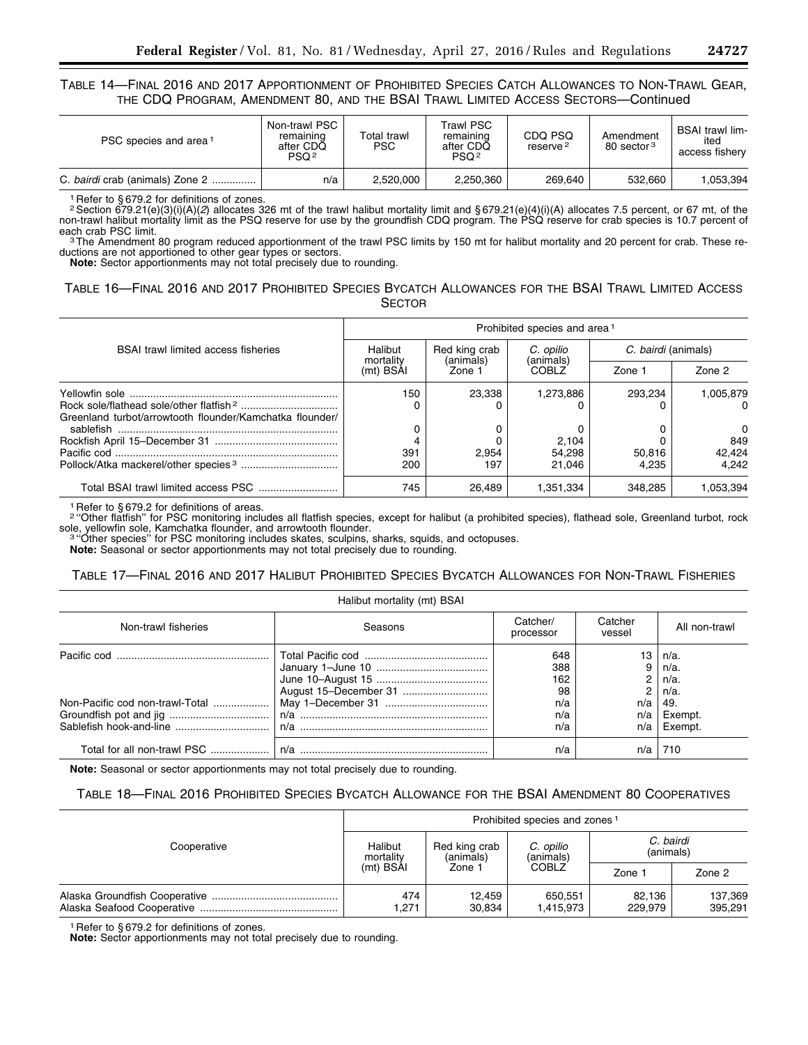TABLE 14—FINAL 2016 AND 2017 APPORTIONMENT OF PROHIBITED SPECIES CATCH ALLOWANCES TO NON-TRAWL GEAR, THE CDQ PROGRAM, AMENDMENT 80, AND THE BSAI TRAWL LIMITED ACCESS SECTORS—Continued

| PSC species and area <sup>1</sup> | Non-trawl PSC<br>remaining<br>after CDO<br>PSQ <sup>2</sup> | Total trawl<br><b>PSC</b> | Trawl PSC<br>remaining<br>after CDQ<br>PSQ <sup>2</sup> | CDQ PSQ<br>reserve <sup>2</sup> | Amendment<br>80 sector <sup>3</sup> | <b>BSAI trawl lim-</b><br>ited<br>access fishery |
|-----------------------------------|-------------------------------------------------------------|---------------------------|---------------------------------------------------------|---------------------------------|-------------------------------------|--------------------------------------------------|
| C. bairdi crab (animals) Zone 2   | n/a                                                         | 2.520.000                 | 2.250.360                                               | 269.640                         | 532.660                             | 1.053.394                                        |

1 Refer to § 679.2 for definitions of zones.

2Section 679.21(e)(3)(i)(A)(*2*) allocates 326 mt of the trawl halibut mortality limit and § 679.21(e)(4)(i)(A) allocates 7.5 percent, or 67 mt, of the non-trawl halibut mortality limit as the PSQ reserve for use by the groundfish CDQ program. The PSQ reserve for crab species is 10.7 percent of each crab PSC limit.<br>3The Amendment 80 program reduced apportionment of the trawl PSC limits by 150 mt for halibut mortality and 20 percent for crab. These re-

ductions are not apportioned to other gear types or sectors.

**Note:** Sector apportionments may not total precisely due to rounding.

TABLE 16—FINAL 2016 AND 2017 PROHIBITED SPECIES BYCATCH ALLOWANCES FOR THE BSAI TRAWL LIMITED ACCESS **SECTOR** 

|                                                          | Prohibited species and area <sup>1</sup> |                     |                           |                     |           |  |
|----------------------------------------------------------|------------------------------------------|---------------------|---------------------------|---------------------|-----------|--|
| <b>BSAI</b> trawl limited access fisheries               | Halibut<br>mortality                     | Red king crab       | C. opilio                 | C. bairdi (animals) |           |  |
|                                                          | (mt) BSAI                                | (animals)<br>Zone 1 | (animals)<br><b>COBLZ</b> | Zone 1              | Zone 2    |  |
|                                                          | 150                                      | 23.338              | 1.273.886                 | 293.234             | 1.005.879 |  |
|                                                          |                                          |                     |                           |                     | $\Omega$  |  |
| Greenland turbot/arrowtooth flounder/Kamchatka flounder/ |                                          |                     |                           |                     |           |  |
|                                                          | 0                                        |                     |                           |                     | $\Omega$  |  |
|                                                          |                                          |                     | 2.104                     |                     | 849       |  |
|                                                          | 391                                      | 2.954               | 54.298                    | 50.816              | 42,424    |  |
|                                                          | 200                                      | 197                 | 21.046                    | 4.235               | 4.242     |  |
|                                                          | 745                                      | 26,489              | 1,351,334                 | 348.285             | 1.053.394 |  |

1 Refer to § 679.2 for definitions of areas.

2 ''Other flatfish'' for PSC monitoring includes all flatfish species, except for halibut (a prohibited species), flathead sole, Greenland turbot, rock sole, yellowfin sole, Kamchatka flounder, and arrowtooth flounder. 3 ''Other species'' for PSC monitoring includes skates, sculpins, sharks, squids, and octopuses.

**Note:** Seasonal or sector apportionments may not total precisely due to rounding.

### TABLE 17—FINAL 2016 AND 2017 HALIBUT PROHIBITED SPECIES BYCATCH ALLOWANCES FOR NON-TRAWL FISHERIES

| Halibut mortality (mt) BSAI |         |                                |                                |                                        |  |  |
|-----------------------------|---------|--------------------------------|--------------------------------|----------------------------------------|--|--|
| Non-trawl fisheries         | Seasons | Catcher/<br>processor          | Catcher<br>vessel              | All non-trawl                          |  |  |
|                             |         | 648<br>388<br>162<br>98<br>n/a | 13<br>$\mathbf{2}$<br>2<br>n/a | n/a.<br>n/a.<br>$n/a$ .<br>n/a.<br>49. |  |  |
|                             |         | n/a<br>n/a                     | n/a<br>n/a                     | Exempt.<br>Exempt.                     |  |  |
|                             |         | n/a                            | n/a                            |                                        |  |  |

**Note:** Seasonal or sector apportionments may not total precisely due to rounding.

### TABLE 18—FINAL 2016 PROHIBITED SPECIES BYCATCH ALLOWANCE FOR THE BSAI AMENDMENT 80 COOPERATIVES

|             | Prohibited species and zones <sup>1</sup> |                                      |                        |                        |                    |  |
|-------------|-------------------------------------------|--------------------------------------|------------------------|------------------------|--------------------|--|
| Cooperative | Halibut<br>mortality<br>(mt) BSAI         | Red king crab<br>(animals)<br>Zone 1 | C. opilio<br>(animals) | C. bairdi<br>(animals) |                    |  |
|             |                                           |                                      | <b>COBLZ</b>           | Zone 1                 | Zone 2             |  |
|             | 474<br>1.271                              | 12.459<br>30,834                     | 650.551<br>1,415,973   | 82.136<br>229.979      | 137,369<br>395.291 |  |

1 Refer to § 679.2 for definitions of zones.

**Note:** Sector apportionments may not total precisely due to rounding.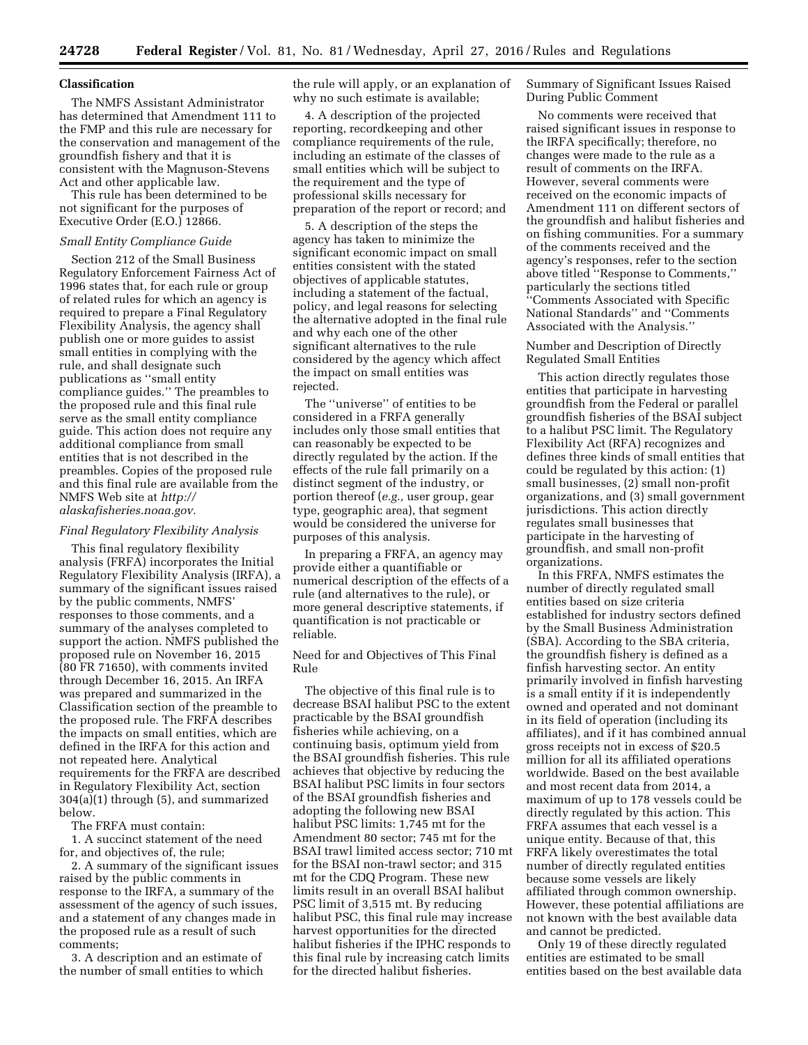#### **Classification**

The NMFS Assistant Administrator has determined that Amendment 111 to the FMP and this rule are necessary for the conservation and management of the groundfish fishery and that it is consistent with the Magnuson-Stevens Act and other applicable law.

This rule has been determined to be not significant for the purposes of Executive Order (E.O.) 12866.

#### *Small Entity Compliance Guide*

Section 212 of the Small Business Regulatory Enforcement Fairness Act of 1996 states that, for each rule or group of related rules for which an agency is required to prepare a Final Regulatory Flexibility Analysis, the agency shall publish one or more guides to assist small entities in complying with the rule, and shall designate such publications as ''small entity compliance guides.'' The preambles to the proposed rule and this final rule serve as the small entity compliance guide. This action does not require any additional compliance from small entities that is not described in the preambles. Copies of the proposed rule and this final rule are available from the NMFS Web site at *[http://](http://alaskafisheries.noaa.gov)  [alaskafisheries.noaa.gov.](http://alaskafisheries.noaa.gov)* 

### *Final Regulatory Flexibility Analysis*

This final regulatory flexibility analysis (FRFA) incorporates the Initial Regulatory Flexibility Analysis (IRFA), a summary of the significant issues raised by the public comments, NMFS' responses to those comments, and a summary of the analyses completed to support the action. NMFS published the proposed rule on November 16, 2015 (80 FR 71650), with comments invited through December 16, 2015. An IRFA was prepared and summarized in the Classification section of the preamble to the proposed rule. The FRFA describes the impacts on small entities, which are defined in the IRFA for this action and not repeated here. Analytical requirements for the FRFA are described in Regulatory Flexibility Act, section 304(a)(1) through (5), and summarized below.

The FRFA must contain:

1. A succinct statement of the need for, and objectives of, the rule;

2. A summary of the significant issues raised by the public comments in response to the IRFA, a summary of the assessment of the agency of such issues, and a statement of any changes made in the proposed rule as a result of such comments;

3. A description and an estimate of the number of small entities to which the rule will apply, or an explanation of why no such estimate is available;

4. A description of the projected reporting, recordkeeping and other compliance requirements of the rule, including an estimate of the classes of small entities which will be subject to the requirement and the type of professional skills necessary for preparation of the report or record; and

5. A description of the steps the agency has taken to minimize the significant economic impact on small entities consistent with the stated objectives of applicable statutes, including a statement of the factual, policy, and legal reasons for selecting the alternative adopted in the final rule and why each one of the other significant alternatives to the rule considered by the agency which affect the impact on small entities was rejected.

The ''universe'' of entities to be considered in a FRFA generally includes only those small entities that can reasonably be expected to be directly regulated by the action. If the effects of the rule fall primarily on a distinct segment of the industry, or portion thereof (*e.g.,* user group, gear type, geographic area), that segment would be considered the universe for purposes of this analysis.

In preparing a FRFA, an agency may provide either a quantifiable or numerical description of the effects of a rule (and alternatives to the rule), or more general descriptive statements, if quantification is not practicable or reliable.

Need for and Objectives of This Final Rule

The objective of this final rule is to decrease BSAI halibut PSC to the extent practicable by the BSAI groundfish fisheries while achieving, on a continuing basis, optimum yield from the BSAI groundfish fisheries. This rule achieves that objective by reducing the BSAI halibut PSC limits in four sectors of the BSAI groundfish fisheries and adopting the following new BSAI halibut PSC limits: 1,745 mt for the Amendment 80 sector; 745 mt for the BSAI trawl limited access sector; 710 mt for the BSAI non-trawl sector; and 315 mt for the CDQ Program. These new limits result in an overall BSAI halibut PSC limit of 3,515 mt. By reducing halibut PSC, this final rule may increase harvest opportunities for the directed halibut fisheries if the IPHC responds to this final rule by increasing catch limits for the directed halibut fisheries.

Summary of Significant Issues Raised During Public Comment

No comments were received that raised significant issues in response to the IRFA specifically; therefore, no changes were made to the rule as a result of comments on the IRFA. However, several comments were received on the economic impacts of Amendment 111 on different sectors of the groundfish and halibut fisheries and on fishing communities. For a summary of the comments received and the agency's responses, refer to the section above titled ''Response to Comments,'' particularly the sections titled ''Comments Associated with Specific National Standards'' and ''Comments Associated with the Analysis.''

Number and Description of Directly Regulated Small Entities

This action directly regulates those entities that participate in harvesting groundfish from the Federal or parallel groundfish fisheries of the BSAI subject to a halibut PSC limit. The Regulatory Flexibility Act (RFA) recognizes and defines three kinds of small entities that could be regulated by this action: (1) small businesses, (2) small non-profit organizations, and (3) small government jurisdictions. This action directly regulates small businesses that participate in the harvesting of groundfish, and small non-profit organizations.

In this FRFA, NMFS estimates the number of directly regulated small entities based on size criteria established for industry sectors defined by the Small Business Administration (SBA). According to the SBA criteria, the groundfish fishery is defined as a finfish harvesting sector. An entity primarily involved in finfish harvesting is a small entity if it is independently owned and operated and not dominant in its field of operation (including its affiliates), and if it has combined annual gross receipts not in excess of \$20.5 million for all its affiliated operations worldwide. Based on the best available and most recent data from 2014, a maximum of up to 178 vessels could be directly regulated by this action. This FRFA assumes that each vessel is a unique entity. Because of that, this FRFA likely overestimates the total number of directly regulated entities because some vessels are likely affiliated through common ownership. However, these potential affiliations are not known with the best available data and cannot be predicted.

Only 19 of these directly regulated entities are estimated to be small entities based on the best available data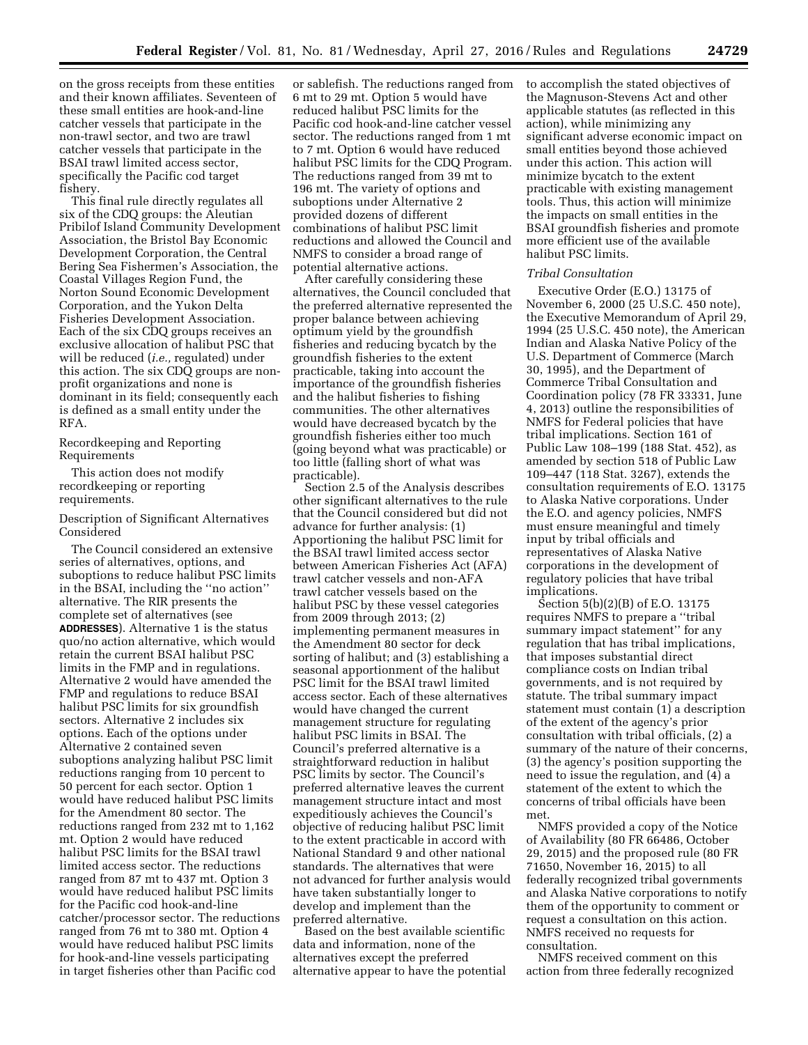on the gross receipts from these entities and their known affiliates. Seventeen of these small entities are hook-and-line catcher vessels that participate in the non-trawl sector, and two are trawl catcher vessels that participate in the BSAI trawl limited access sector, specifically the Pacific cod target fishery.

This final rule directly regulates all six of the CDQ groups: the Aleutian Pribilof Island Community Development Association, the Bristol Bay Economic Development Corporation, the Central Bering Sea Fishermen's Association, the Coastal Villages Region Fund, the Norton Sound Economic Development Corporation, and the Yukon Delta Fisheries Development Association. Each of the six CDQ groups receives an exclusive allocation of halibut PSC that will be reduced (*i.e.,* regulated) under this action. The six CDQ groups are nonprofit organizations and none is dominant in its field; consequently each is defined as a small entity under the RFA.

Recordkeeping and Reporting Requirements

This action does not modify recordkeeping or reporting requirements.

Description of Significant Alternatives Considered

The Council considered an extensive series of alternatives, options, and suboptions to reduce halibut PSC limits in the BSAI, including the ''no action'' alternative. The RIR presents the complete set of alternatives (see **ADDRESSES**). Alternative 1 is the status quo/no action alternative, which would retain the current BSAI halibut PSC limits in the FMP and in regulations. Alternative 2 would have amended the FMP and regulations to reduce BSAI halibut PSC limits for six groundfish sectors. Alternative 2 includes six options. Each of the options under Alternative 2 contained seven suboptions analyzing halibut PSC limit reductions ranging from 10 percent to 50 percent for each sector. Option 1 would have reduced halibut PSC limits for the Amendment 80 sector. The reductions ranged from 232 mt to 1,162 mt. Option 2 would have reduced halibut PSC limits for the BSAI trawl limited access sector. The reductions ranged from 87 mt to 437 mt. Option 3 would have reduced halibut PSC limits for the Pacific cod hook-and-line catcher/processor sector. The reductions ranged from 76 mt to 380 mt. Option 4 would have reduced halibut PSC limits for hook-and-line vessels participating in target fisheries other than Pacific cod

or sablefish. The reductions ranged from 6 mt to 29 mt. Option 5 would have reduced halibut PSC limits for the Pacific cod hook-and-line catcher vessel sector. The reductions ranged from 1 mt to 7 mt. Option 6 would have reduced halibut PSC limits for the CDQ Program. The reductions ranged from 39 mt to 196 mt. The variety of options and suboptions under Alternative 2 provided dozens of different combinations of halibut PSC limit reductions and allowed the Council and NMFS to consider a broad range of potential alternative actions.

After carefully considering these alternatives, the Council concluded that the preferred alternative represented the proper balance between achieving optimum yield by the groundfish fisheries and reducing bycatch by the groundfish fisheries to the extent practicable, taking into account the importance of the groundfish fisheries and the halibut fisheries to fishing communities. The other alternatives would have decreased bycatch by the groundfish fisheries either too much (going beyond what was practicable) or too little (falling short of what was practicable).

Section 2.5 of the Analysis describes other significant alternatives to the rule that the Council considered but did not advance for further analysis: (1) Apportioning the halibut PSC limit for the BSAI trawl limited access sector between American Fisheries Act (AFA) trawl catcher vessels and non-AFA trawl catcher vessels based on the halibut PSC by these vessel categories from 2009 through 2013; (2) implementing permanent measures in the Amendment 80 sector for deck sorting of halibut; and (3) establishing a seasonal apportionment of the halibut PSC limit for the BSAI trawl limited access sector. Each of these alternatives would have changed the current management structure for regulating halibut PSC limits in BSAI. The Council's preferred alternative is a straightforward reduction in halibut PSC limits by sector. The Council's preferred alternative leaves the current management structure intact and most expeditiously achieves the Council's objective of reducing halibut PSC limit to the extent practicable in accord with National Standard 9 and other national standards. The alternatives that were not advanced for further analysis would have taken substantially longer to develop and implement than the preferred alternative.

Based on the best available scientific data and information, none of the alternatives except the preferred alternative appear to have the potential to accomplish the stated objectives of the Magnuson-Stevens Act and other applicable statutes (as reflected in this action), while minimizing any significant adverse economic impact on small entities beyond those achieved under this action. This action will minimize bycatch to the extent practicable with existing management tools. Thus, this action will minimize the impacts on small entities in the BSAI groundfish fisheries and promote more efficient use of the available halibut PSC limits.

#### *Tribal Consultation*

Executive Order (E.O.) 13175 of November 6, 2000 (25 U.S.C. 450 note), the Executive Memorandum of April 29, 1994 (25 U.S.C. 450 note), the American Indian and Alaska Native Policy of the U.S. Department of Commerce (March 30, 1995), and the Department of Commerce Tribal Consultation and Coordination policy (78 FR 33331, June 4, 2013) outline the responsibilities of NMFS for Federal policies that have tribal implications. Section 161 of Public Law 108–199 (188 Stat. 452), as amended by section 518 of Public Law 109–447 (118 Stat. 3267), extends the consultation requirements of E.O. 13175 to Alaska Native corporations. Under the E.O. and agency policies, NMFS must ensure meaningful and timely input by tribal officials and representatives of Alaska Native corporations in the development of regulatory policies that have tribal implications.

Section 5(b)(2)(B) of E.O. 13175 requires NMFS to prepare a ''tribal summary impact statement'' for any regulation that has tribal implications, that imposes substantial direct compliance costs on Indian tribal governments, and is not required by statute. The tribal summary impact statement must contain (1) a description of the extent of the agency's prior consultation with tribal officials, (2) a summary of the nature of their concerns, (3) the agency's position supporting the need to issue the regulation, and (4) a statement of the extent to which the concerns of tribal officials have been met.

NMFS provided a copy of the Notice of Availability (80 FR 66486, October 29, 2015) and the proposed rule (80 FR 71650, November 16, 2015) to all federally recognized tribal governments and Alaska Native corporations to notify them of the opportunity to comment or request a consultation on this action. NMFS received no requests for consultation.

NMFS received comment on this action from three federally recognized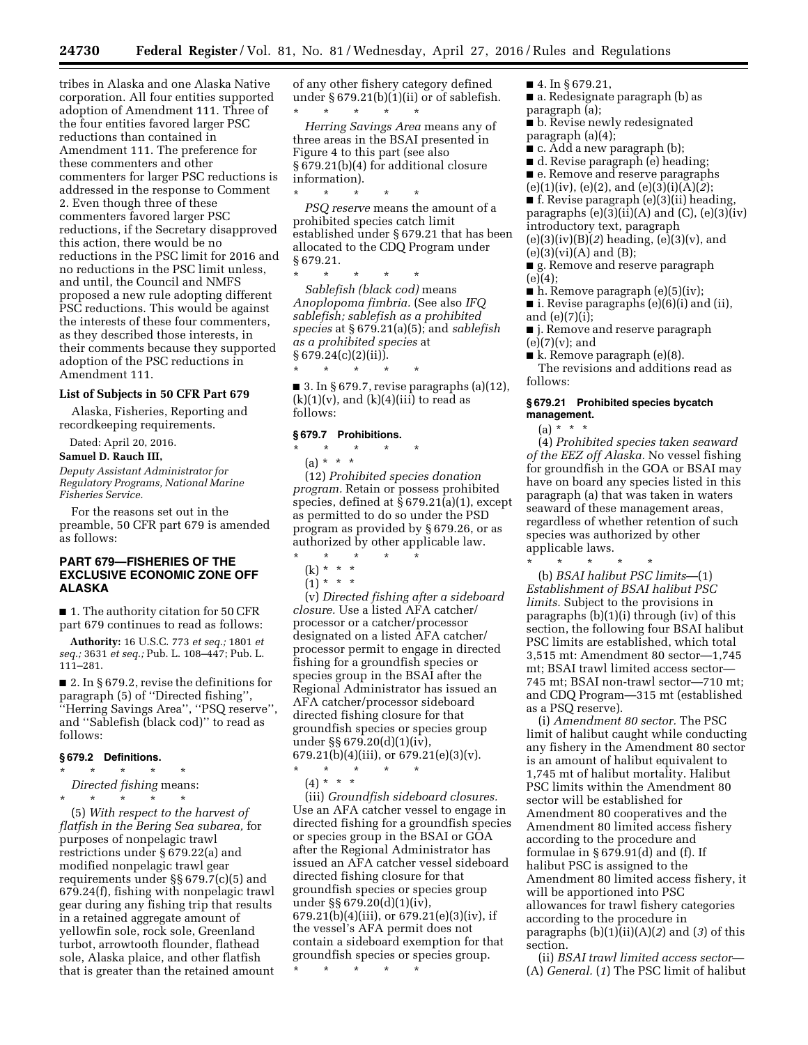tribes in Alaska and one Alaska Native corporation. All four entities supported adoption of Amendment 111. Three of the four entities favored larger PSC reductions than contained in Amendment 111. The preference for these commenters and other commenters for larger PSC reductions is addressed in the response to Comment 2. Even though three of these commenters favored larger PSC reductions, if the Secretary disapproved this action, there would be no reductions in the PSC limit for 2016 and no reductions in the PSC limit unless, and until, the Council and NMFS proposed a new rule adopting different PSC reductions. This would be against the interests of these four commenters, as they described those interests, in their comments because they supported adoption of the PSC reductions in Amendment 111.

#### **List of Subjects in 50 CFR Part 679**

Alaska, Fisheries, Reporting and recordkeeping requirements.

Dated: April 20, 2016.

# **Samuel D. Rauch III,**

*Deputy Assistant Administrator for Regulatory Programs, National Marine Fisheries Service.* 

For the reasons set out in the preamble, 50 CFR part 679 is amended as follows:

# **PART 679—FISHERIES OF THE EXCLUSIVE ECONOMIC ZONE OFF ALASKA**

■ 1. The authority citation for 50 CFR part 679 continues to read as follows:

**Authority:** 16 U.S.C. 773 *et seq.;* 1801 *et seq.;* 3631 *et seq.;* Pub. L. 108–447; Pub. L. 111–281.

■ 2. In § 679.2, revise the definitions for paragraph (5) of ''Directed fishing'', ''Herring Savings Area'', ''PSQ reserve'', and ''Sablefish (black cod)'' to read as follows:

# **§ 679.2 Definitions.**

\* \* \* \* \* *Directed fishing* means:

\* \* \* \* \*

(5) *With respect to the harvest of flatfish in the Bering Sea subarea,* for purposes of nonpelagic trawl restrictions under § 679.22(a) and modified nonpelagic trawl gear requirements under §§ 679.7(c)(5) and 679.24(f), fishing with nonpelagic trawl gear during any fishing trip that results in a retained aggregate amount of yellowfin sole, rock sole, Greenland turbot, arrowtooth flounder, flathead sole, Alaska plaice, and other flatfish that is greater than the retained amount

of any other fishery category defined under  $\S 679.21(b)(1)(ii)$  or of sablefish. \* \* \* \* \*

*Herring Savings Area* means any of three areas in the BSAI presented in Figure 4 to this part (see also § 679.21(b)(4) for additional closure information).

\* \* \* \* \* *PSQ reserve* means the amount of a prohibited species catch limit established under § 679.21 that has been allocated to the CDQ Program under § 679.21.

\* \* \* \* \* *Sablefish (black cod)* means *Anoplopoma fimbria.* (See also *IFQ sablefish; sablefish as a prohibited species* at § 679.21(a)(5); and *sablefish as a prohibited species* at § 679.24(c)(2)(ii)). \* \* \* \* \*

 $\blacksquare$  3. In § 679.7, revise paragraphs (a)(12),  $(k)(1)(v)$ , and  $(k)(4)(iii)$  to read as follows:

### **§ 679.7 Prohibitions.**

\* \* \* \* \*

(a) \* \* \*

(12) *Prohibited species donation program.* Retain or possess prohibited species, defined at § 679.21(a)(1), except as permitted to do so under the PSD program as provided by § 679.26, or as authorized by other applicable law. \* \* \* \* \*

- (k) \* \* \*
- $(1) * * * *$
- 

(v) *Directed fishing after a sideboard closure.* Use a listed AFA catcher/ processor or a catcher/processor designated on a listed AFA catcher/ processor permit to engage in directed fishing for a groundfish species or species group in the BSAI after the Regional Administrator has issued an AFA catcher/processor sideboard directed fishing closure for that groundfish species or species group under §§ 679.20(d)(1)(iv), 679.21(b)(4)(iii), or 679.21(e)(3)(v).

\* \* \* \* \* (4) \* \* \*

(iii) *Groundfish sideboard closures.*  Use an AFA catcher vessel to engage in directed fishing for a groundfish species or species group in the BSAI or GOA after the Regional Administrator has issued an AFA catcher vessel sideboard directed fishing closure for that groundfish species or species group under §§ 679.20(d)(1)(iv), 679.21(b)(4)(iii), or 679.21(e)(3)(iv), if the vessel's AFA permit does not contain a sideboard exemption for that groundfish species or species group. \* \* \* \* \*

■ 4. In § 679.21,

- a. Redesignate paragraph (b) as paragraph (a);
- b. Revise newly redesignated paragraph (a)(4);
- c. Add a new paragraph (b);
- d. Revise paragraph (e) heading;
- e. Remove and reserve paragraphs
- (e)(1)(iv), (e)(2), and (e)(3)(i)(A)(*2*);

■ f. Revise paragraph (e)(3)(ii) heading, paragraphs  $(e)(3)(ii)(A)$  and  $(C)$ ,  $(e)(3)(iv)$ introductory text, paragraph (e)(3)(iv)(B)(*2*) heading, (e)(3)(v), and  $(e)(3)(vi)(A)$  and  $(B);$ 

■ g. Remove and reserve paragraph  $(e)(4)$ ;

 $\blacksquare$  h. Remove paragraph (e)(5)(iv);

- i. Revise paragraphs (e)(6)(i) and (ii), and  $(e)(7)(i)$ ;
- j. Remove and reserve paragraph  $(e)(7)(v)$ ; and

 $\blacksquare$  k. Remove paragraph (e)(8).

The revisions and additions read as follows:

### **§ 679.21 Prohibited species bycatch management.**

 $(a) * * * *$ 

\* \* \* \* \*

(4) *Prohibited species taken seaward of the EEZ off Alaska.* No vessel fishing for groundfish in the GOA or BSAI may have on board any species listed in this paragraph (a) that was taken in waters seaward of these management areas, regardless of whether retention of such species was authorized by other applicable laws.

(b) *BSAI halibut PSC limits*—(1) *Establishment of BSAI halibut PSC limits.* Subject to the provisions in paragraphs (b)(1)(i) through (iv) of this section, the following four BSAI halibut PSC limits are established, which total 3,515 mt: Amendment 80 sector—1,745 mt; BSAI trawl limited access sector— 745 mt; BSAI non-trawl sector—710 mt; and CDQ Program—315 mt (established as a PSQ reserve).

(i) *Amendment 80 sector.* The PSC limit of halibut caught while conducting any fishery in the Amendment 80 sector is an amount of halibut equivalent to 1,745 mt of halibut mortality. Halibut PSC limits within the Amendment 80 sector will be established for Amendment 80 cooperatives and the Amendment 80 limited access fishery according to the procedure and formulae in  $\S 679.91(d)$  and (f). If halibut PSC is assigned to the Amendment 80 limited access fishery, it will be apportioned into PSC allowances for trawl fishery categories according to the procedure in paragraphs (b)(1)(ii)(A)(*2*) and (*3*) of this section.

(ii) *BSAI trawl limited access sector*— (A) *General.* (*1*) The PSC limit of halibut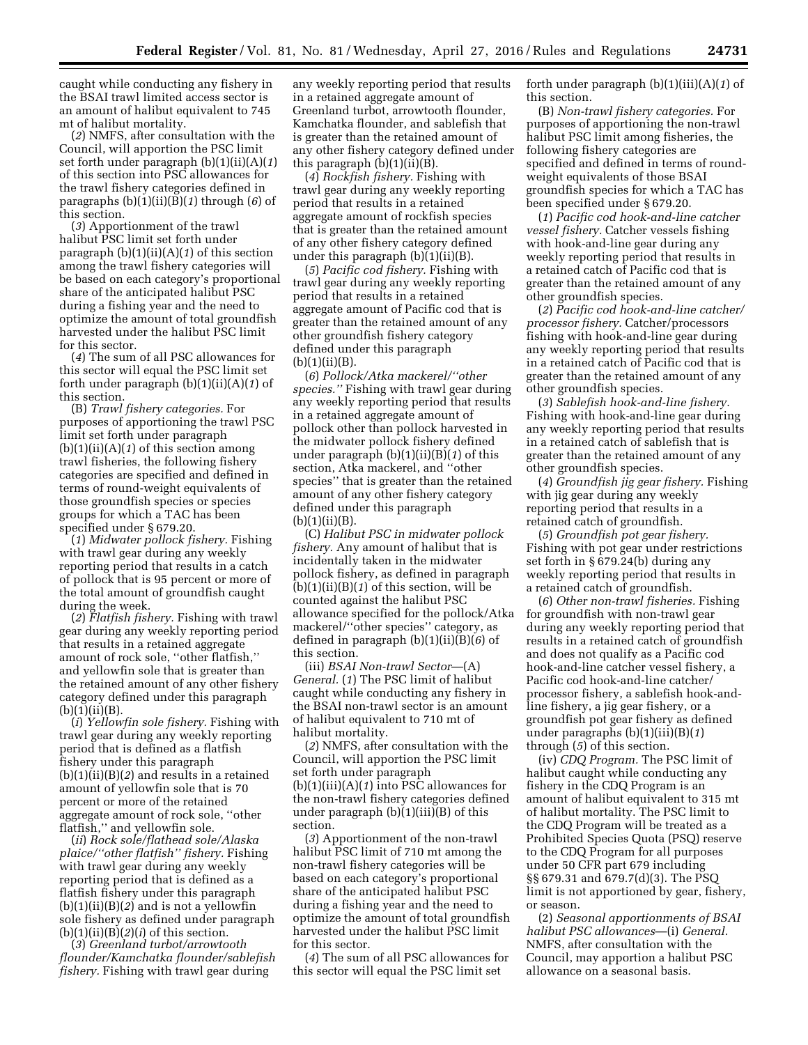caught while conducting any fishery in the BSAI trawl limited access sector is an amount of halibut equivalent to 745 mt of halibut mortality.

(*2*) NMFS, after consultation with the Council, will apportion the PSC limit set forth under paragraph (b)(1)(ii)(A)(*1*) of this section into PSC allowances for the trawl fishery categories defined in paragraphs (b)(1)(ii)(B)(*1*) through (*6*) of this section.

(*3*) Apportionment of the trawl halibut PSC limit set forth under paragraph (b)(1)(ii)(A)(*1*) of this section among the trawl fishery categories will be based on each category's proportional share of the anticipated halibut PSC during a fishing year and the need to optimize the amount of total groundfish harvested under the halibut PSC limit for this sector.

(*4*) The sum of all PSC allowances for this sector will equal the PSC limit set forth under paragraph (b)(1)(ii)(A)(*1*) of this section.

(B) *Trawl fishery categories.* For purposes of apportioning the trawl PSC limit set forth under paragraph  $(b)(1)(ii)(A)(1)$  of this section among trawl fisheries, the following fishery categories are specified and defined in terms of round-weight equivalents of those groundfish species or species groups for which a TAC has been specified under § 679.20.

(*1*) *Midwater pollock fishery.* Fishing with trawl gear during any weekly reporting period that results in a catch of pollock that is 95 percent or more of the total amount of groundfish caught during the week.

(*2*) *Flatfish fishery.* Fishing with trawl gear during any weekly reporting period that results in a retained aggregate amount of rock sole, ''other flatfish,'' and yellowfin sole that is greater than the retained amount of any other fishery category defined under this paragraph  $(b)(1)(ii)(B).$ 

(*i*) *Yellowfin sole fishery.* Fishing with trawl gear during any weekly reporting period that is defined as a flatfish fishery under this paragraph (b)(1)(ii)(B)(*2*) and results in a retained amount of yellowfin sole that is 70 percent or more of the retained aggregate amount of rock sole, ''other flatfish,'' and yellowfin sole.

(*ii*) *Rock sole/flathead sole/Alaska plaice/''other flatfish'' fishery.* Fishing with trawl gear during any weekly reporting period that is defined as a flatfish fishery under this paragraph (b)(1)(ii)(B)(*2*) and is not a yellowfin sole fishery as defined under paragraph  $(b)(1)(ii)(B)(2)(i)$  of this section.

(*3*) *Greenland turbot/arrowtooth flounder/Kamchatka flounder/sablefish fishery.* Fishing with trawl gear during

any weekly reporting period that results in a retained aggregate amount of Greenland turbot, arrowtooth flounder, Kamchatka flounder, and sablefish that is greater than the retained amount of any other fishery category defined under this paragraph (b)(1)(ii)(B).

(*4*) *Rockfish fishery.* Fishing with trawl gear during any weekly reporting period that results in a retained aggregate amount of rockfish species that is greater than the retained amount of any other fishery category defined under this paragraph (b)(1)(ii)(B).

(*5*) *Pacific cod fishery.* Fishing with trawl gear during any weekly reporting period that results in a retained aggregate amount of Pacific cod that is greater than the retained amount of any other groundfish fishery category defined under this paragraph  $(b)(1)(ii)(B).$ 

(*6*) *Pollock/Atka mackerel/''other species.''* Fishing with trawl gear during any weekly reporting period that results in a retained aggregate amount of pollock other than pollock harvested in the midwater pollock fishery defined under paragraph (b)(1)(ii)(B)(*1*) of this section, Atka mackerel, and ''other species'' that is greater than the retained amount of any other fishery category defined under this paragraph  $(b)(1)(ii)(B)$ .

(C) *Halibut PSC in midwater pollock fishery.* Any amount of halibut that is incidentally taken in the midwater pollock fishery, as defined in paragraph (b)(1)(ii)(B)(*1*) of this section, will be counted against the halibut PSC allowance specified for the pollock/Atka mackerel/''other species'' category, as defined in paragraph (b)(1)(ii)(B)(*6*) of this section.

(iii) *BSAI Non-trawl Sector*—(A) *General.* (*1*) The PSC limit of halibut caught while conducting any fishery in the BSAI non-trawl sector is an amount of halibut equivalent to 710 mt of halibut mortality.

(*2*) NMFS, after consultation with the Council, will apportion the PSC limit set forth under paragraph (b)(1)(iii)(A)(*1*) into PSC allowances for the non-trawl fishery categories defined under paragraph (b)(1)(iii)(B) of this section.

(*3*) Apportionment of the non-trawl halibut PSC limit of 710 mt among the non-trawl fishery categories will be based on each category's proportional share of the anticipated halibut PSC during a fishing year and the need to optimize the amount of total groundfish harvested under the halibut PSC limit for this sector.

(*4*) The sum of all PSC allowances for this sector will equal the PSC limit set

forth under paragraph (b)(1)(iii)(A)(*1*) of this section.

(B) *Non-trawl fishery categories.* For purposes of apportioning the non-trawl halibut PSC limit among fisheries, the following fishery categories are specified and defined in terms of roundweight equivalents of those BSAI groundfish species for which a TAC has been specified under § 679.20.

(*1*) *Pacific cod hook-and-line catcher vessel fishery.* Catcher vessels fishing with hook-and-line gear during any weekly reporting period that results in a retained catch of Pacific cod that is greater than the retained amount of any other groundfish species.

(*2*) *Pacific cod hook-and-line catcher/ processor fishery.* Catcher/processors fishing with hook-and-line gear during any weekly reporting period that results in a retained catch of Pacific cod that is greater than the retained amount of any other groundfish species.

(*3*) *Sablefish hook-and-line fishery.*  Fishing with hook-and-line gear during any weekly reporting period that results in a retained catch of sablefish that is greater than the retained amount of any other groundfish species.

(*4*) *Groundfish jig gear fishery.* Fishing with jig gear during any weekly reporting period that results in a retained catch of groundfish.

(*5*) *Groundfish pot gear fishery.*  Fishing with pot gear under restrictions set forth in § 679.24(b) during any weekly reporting period that results in a retained catch of groundfish.

(*6*) *Other non-trawl fisheries.* Fishing for groundfish with non-trawl gear during any weekly reporting period that results in a retained catch of groundfish and does not qualify as a Pacific cod hook-and-line catcher vessel fishery, a Pacific cod hook-and-line catcher/ processor fishery, a sablefish hook-andline fishery, a jig gear fishery, or a groundfish pot gear fishery as defined under paragraphs (b)(1)(iii)(B)(*1*) through (*5*) of this section.

(iv) *CDQ Program.* The PSC limit of halibut caught while conducting any fishery in the CDQ Program is an amount of halibut equivalent to 315 mt of halibut mortality. The PSC limit to the CDQ Program will be treated as a Prohibited Species Quota (PSQ) reserve to the CDQ Program for all purposes under 50 CFR part 679 including §§ 679.31 and 679.7(d)(3). The PSQ limit is not apportioned by gear, fishery, or season.

(2) *Seasonal apportionments of BSAI halibut PSC allowances*—(i) *General.*  NMFS, after consultation with the Council, may apportion a halibut PSC allowance on a seasonal basis.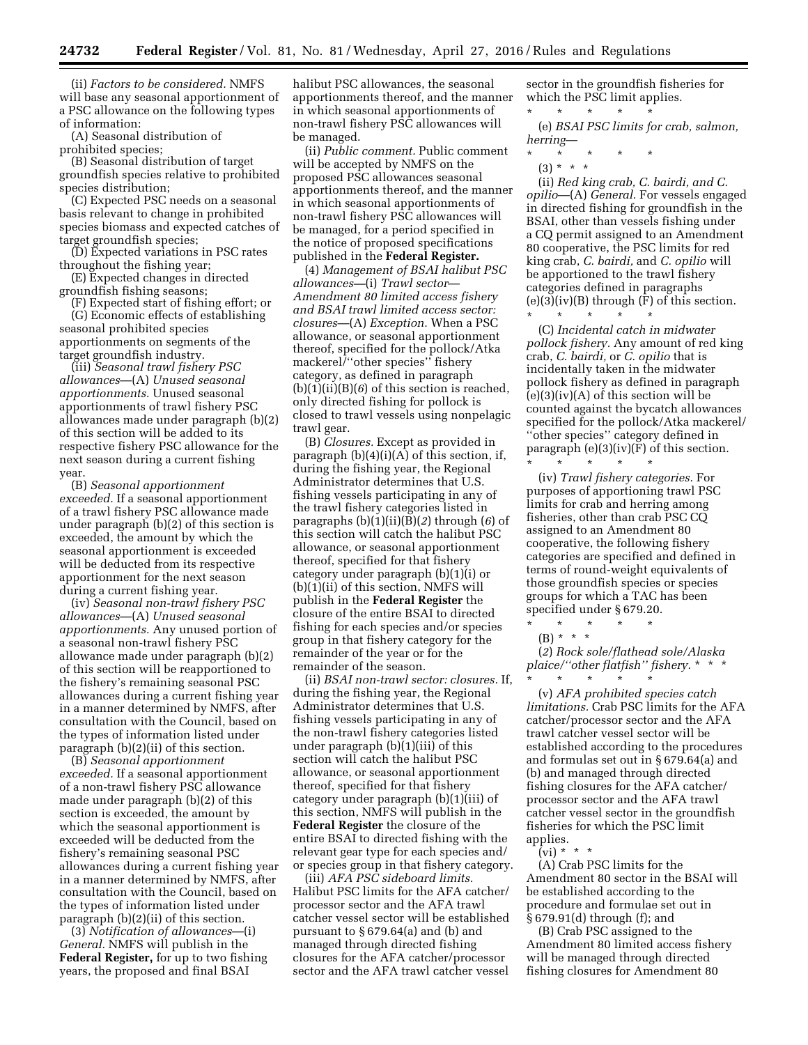(ii) *Factors to be considered.* NMFS will base any seasonal apportionment of a PSC allowance on the following types of information:

(A) Seasonal distribution of prohibited species;

(B) Seasonal distribution of target groundfish species relative to prohibited species distribution;

(C) Expected PSC needs on a seasonal basis relevant to change in prohibited species biomass and expected catches of target groundfish species;

(D) Expected variations in PSC rates throughout the fishing year;

(E) Expected changes in directed groundfish fishing seasons;

(F) Expected start of fishing effort; or (G) Economic effects of establishing seasonal prohibited species

apportionments on segments of the target groundfish industry. (iii) *Seasonal trawl fishery PSC* 

*allowances*—(A) *Unused seasonal apportionments.* Unused seasonal apportionments of trawl fishery PSC allowances made under paragraph (b)(2) of this section will be added to its respective fishery PSC allowance for the next season during a current fishing year.

(B) *Seasonal apportionment exceeded.* If a seasonal apportionment of a trawl fishery PSC allowance made under paragraph (b)(2) of this section is exceeded, the amount by which the seasonal apportionment is exceeded will be deducted from its respective apportionment for the next season during a current fishing year.

(iv) *Seasonal non-trawl fishery PSC allowances*—(A) *Unused seasonal apportionments.* Any unused portion of a seasonal non-trawl fishery PSC allowance made under paragraph (b)(2) of this section will be reapportioned to the fishery's remaining seasonal PSC allowances during a current fishing year in a manner determined by NMFS, after consultation with the Council, based on the types of information listed under paragraph (b)(2)(ii) of this section.

(B) *Seasonal apportionment exceeded.* If a seasonal apportionment of a non-trawl fishery PSC allowance made under paragraph (b)(2) of this section is exceeded, the amount by which the seasonal apportionment is exceeded will be deducted from the fishery's remaining seasonal PSC allowances during a current fishing year in a manner determined by NMFS, after consultation with the Council, based on the types of information listed under paragraph (b)(2)(ii) of this section.

(3) *Notification of allowances*—(i) *General.* NMFS will publish in the **Federal Register,** for up to two fishing years, the proposed and final BSAI

halibut PSC allowances, the seasonal apportionments thereof, and the manner in which seasonal apportionments of non-trawl fishery PSC allowances will be managed.

(ii) *Public comment.* Public comment will be accepted by NMFS on the proposed PSC allowances seasonal apportionments thereof, and the manner in which seasonal apportionments of non-trawl fishery PSC allowances will be managed, for a period specified in the notice of proposed specifications published in the **Federal Register.** 

(4) *Management of BSAI halibut PSC allowances—*(i) *Trawl sector*— *Amendment 80 limited access fishery and BSAI trawl limited access sector: closures*—(A) *Exception.* When a PSC allowance, or seasonal apportionment thereof, specified for the pollock/Atka mackerel/''other species'' fishery category, as defined in paragraph  $(b)(1)(ii)(B)(6)$  of this section is reached, only directed fishing for pollock is closed to trawl vessels using nonpelagic trawl gear.

(B) *Closures.* Except as provided in paragraph  $(b)(4)(i)(A)$  of this section, if, during the fishing year, the Regional Administrator determines that U.S. fishing vessels participating in any of the trawl fishery categories listed in paragraphs (b)(1)(ii)(B)(*2*) through (*6*) of this section will catch the halibut PSC allowance, or seasonal apportionment thereof, specified for that fishery category under paragraph (b)(1)(i) or (b)(1)(ii) of this section, NMFS will publish in the **Federal Register** the closure of the entire BSAI to directed fishing for each species and/or species group in that fishery category for the remainder of the year or for the remainder of the season.

(ii) *BSAI non-trawl sector: closures.* If, during the fishing year, the Regional Administrator determines that U.S. fishing vessels participating in any of the non-trawl fishery categories listed under paragraph  $(b)(1)(iii)$  of this section will catch the halibut PSC allowance, or seasonal apportionment thereof, specified for that fishery category under paragraph (b)(1)(iii) of this section, NMFS will publish in the **Federal Register** the closure of the entire BSAI to directed fishing with the relevant gear type for each species and/ or species group in that fishery category.

(iii) *AFA PSC sideboard limits.*  Halibut PSC limits for the AFA catcher/ processor sector and the AFA trawl catcher vessel sector will be established pursuant to § 679.64(a) and (b) and managed through directed fishing closures for the AFA catcher/processor sector and the AFA trawl catcher vessel

sector in the groundfish fisheries for which the PSC limit applies. \* \* \* \* \*

(e) *BSAI PSC limits for crab, salmon, herring*—

\* \* \* \* \*

(3) \* \* \*

(ii) *Red king crab, C. bairdi, and C. opilio*—(A) *General.* For vessels engaged in directed fishing for groundfish in the BSAI, other than vessels fishing under a CQ permit assigned to an Amendment 80 cooperative, the PSC limits for red king crab, *C. bairdi,* and *C. opilio* will be apportioned to the trawl fishery categories defined in paragraphs  $(e)(3)(iv)(B)$  through  $(F)$  of this section. \* \* \* \* \*

(C) *Incidental catch in midwater pollock fishery.* Any amount of red king crab, *C. bairdi,* or *C. opilio* that is incidentally taken in the midwater pollock fishery as defined in paragraph  $(e)(3)(iv)(A)$  of this section will be counted against the bycatch allowances specified for the pollock/Atka mackerel/ ''other species'' category defined in paragraph  $(e)(3)(iv)(F)$  of this section. \* \* \* \* \*

(iv) *Trawl fishery categories.* For purposes of apportioning trawl PSC limits for crab and herring among fisheries, other than crab PSC CQ assigned to an Amendment 80 cooperative, the following fishery categories are specified and defined in terms of round-weight equivalents of those groundfish species or species groups for which a TAC has been specified under § 679.20.

\* \* \* \* \*

(B) \* \* \*

(*2*) *Rock sole/flathead sole/Alaska plaice/''other flatfish'' fishery.* \* \* \* \* \* \* \* \*

(v) *AFA prohibited species catch limitations.* Crab PSC limits for the AFA catcher/processor sector and the AFA trawl catcher vessel sector will be established according to the procedures and formulas set out in § 679.64(a) and (b) and managed through directed fishing closures for the AFA catcher/ processor sector and the AFA trawl catcher vessel sector in the groundfish fisheries for which the PSC limit applies.

 $(vi) * * * *$ 

(A) Crab PSC limits for the Amendment 80 sector in the BSAI will be established according to the procedure and formulae set out in § 679.91(d) through (f); and

(B) Crab PSC assigned to the Amendment 80 limited access fishery will be managed through directed fishing closures for Amendment 80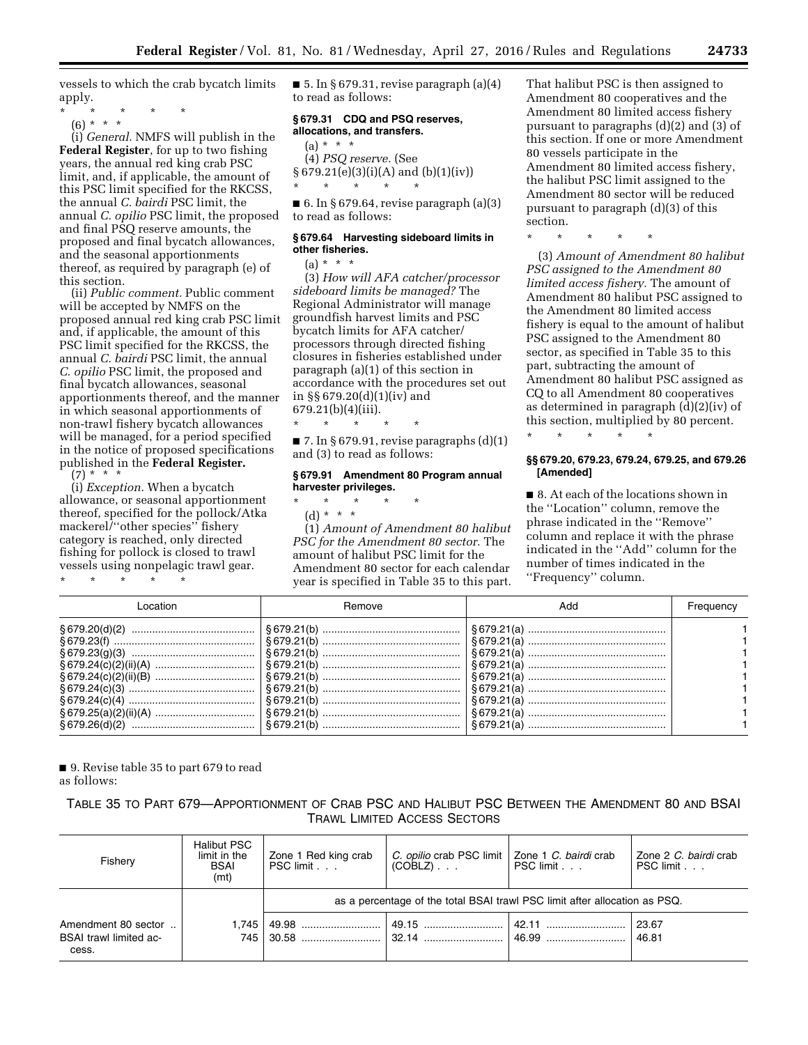vessels to which the crab bycatch limits apply.

\* \* \* \* \*

(6) \* \* \* (i) *General.* NMFS will publish in the **Federal Register**, for up to two fishing years, the annual red king crab PSC limit, and, if applicable, the amount of this PSC limit specified for the RKCSS, the annual *C. bairdi* PSC limit, the annual *C. opilio* PSC limit, the proposed and final PSQ reserve amounts, the proposed and final bycatch allowances, and the seasonal apportionments thereof, as required by paragraph (e) of this section.

(ii) *Public comment.* Public comment will be accepted by NMFS on the proposed annual red king crab PSC limit and, if applicable, the amount of this PSC limit specified for the RKCSS, the annual *C. bairdi* PSC limit, the annual *C. opilio* PSC limit, the proposed and final bycatch allowances, seasonal apportionments thereof, and the manner in which seasonal apportionments of non-trawl fishery bycatch allowances will be managed, for a period specified in the notice of proposed specifications published in the **Federal Register.**   $(7) * * * *$ 

(i) *Exception.* When a bycatch allowance, or seasonal apportionment thereof, specified for the pollock/Atka mackerel/''other species'' fishery category is reached, only directed fishing for pollock is closed to trawl vessels using nonpelagic trawl gear. \* \* \* \* \*

 $\blacksquare$  5. In § 679.31, revise paragraph  $(a)(4)$ to read as follows:

### **§ 679.31 CDQ and PSQ reserves, allocations, and transfers.**

(a) \* \* \* (4) *PSQ reserve.* (See § 679.21(e)(3)(i)(A) and (b)(1)(iv)) \* \* \* \* \*

 $\blacksquare$  6. In § 679.64, revise paragraph (a)(3) to read as follows:

### **§ 679.64 Harvesting sideboard limits in other fisheries.**

 $(a) * * * *$ 

(3) *How will AFA catcher/processor sideboard limits be managed?* The Regional Administrator will manage groundfish harvest limits and PSC bycatch limits for AFA catcher/ processors through directed fishing closures in fisheries established under paragraph (a)(1) of this section in accordance with the procedures set out in §§ 679.20(d)(1)(iv) and 679.21(b)(4)(iii).

\* \* \* \* \*

 $\blacksquare$  7. In § 679.91, revise paragraphs  $(d)(1)$ and (3) to read as follows:

## **§ 679.91 Amendment 80 Program annual harvester privileges.**

\* \* \* \* \*

(d) \* \* \*

(1) *Amount of Amendment 80 halibut PSC for the Amendment 80 sector.* The amount of halibut PSC limit for the Amendment 80 sector for each calendar year is specified in Table 35 to this part.

That halibut PSC is then assigned to Amendment 80 cooperatives and the Amendment 80 limited access fishery pursuant to paragraphs (d)(2) and (3) of this section. If one or more Amendment 80 vessels participate in the Amendment 80 limited access fishery, the halibut PSC limit assigned to the Amendment 80 sector will be reduced pursuant to paragraph (d)(3) of this section.

\* \* \* \* \*

(3) *Amount of Amendment 80 halibut PSC assigned to the Amendment 80 limited access fishery.* The amount of Amendment 80 halibut PSC assigned to the Amendment 80 limited access fishery is equal to the amount of halibut PSC assigned to the Amendment 80 sector, as specified in Table 35 to this part, subtracting the amount of Amendment 80 halibut PSC assigned as CQ to all Amendment 80 cooperatives as determined in paragraph (d)(2)(iv) of this section, multiplied by 80 percent.

#### **§§ 679.20, 679.23, 679.24, 679.25, and 679.26 [Amended]**

\* \* \* \* \*

■ 8. At each of the locations shown in the ''Location'' column, remove the phrase indicated in the ''Remove'' column and replace it with the phrase indicated in the ''Add'' column for the number of times indicated in the ''Frequency'' column.

| ∣ ocation | Remove                                                                                           | Add                                                                                       | Freauency |
|-----------|--------------------------------------------------------------------------------------------------|-------------------------------------------------------------------------------------------|-----------|
|           | │ § 679.21(b) ……………………………………… │<br>,§ 679.21(b) …………………………………………<br>「§ 679.21(b) ……………………………………… | § 679.21(a) ………………………………………<br>§ 679.21(a) ………………………………………<br>§ 679.21(a) ……………………………………… |           |

■ 9. Revise table 35 to part 679 to read as follows:

TABLE 35 TO PART 679—APPORTIONMENT OF CRAB PSC AND HALIBUT PSC BETWEEN THE AMENDMENT 80 AND BSAI TRAWL LIMITED ACCESS SECTORS

| Fishery                                                       | <b>Halibut PSC</b><br>limit in the<br><b>BSAI</b><br>(mt) | Zone 1 Red king crab<br>PSC limit                                          | C. opilio crab PSC limit   Zone 1 C. bairdi crab<br>$(COBLZ)$ | PSC limit | Zone 2 C, bairdi crab<br>PSC limit |  |  |
|---------------------------------------------------------------|-----------------------------------------------------------|----------------------------------------------------------------------------|---------------------------------------------------------------|-----------|------------------------------------|--|--|
|                                                               |                                                           | as a percentage of the total BSAI trawl PSC limit after allocation as PSQ. |                                                               |           |                                    |  |  |
| Amendment 80 sector<br><b>BSAI</b> trawl limited ac-<br>cess. | 1.745<br>745                                              | 49.98 !                                                                    |                                                               |           | 23.67<br>46.81                     |  |  |